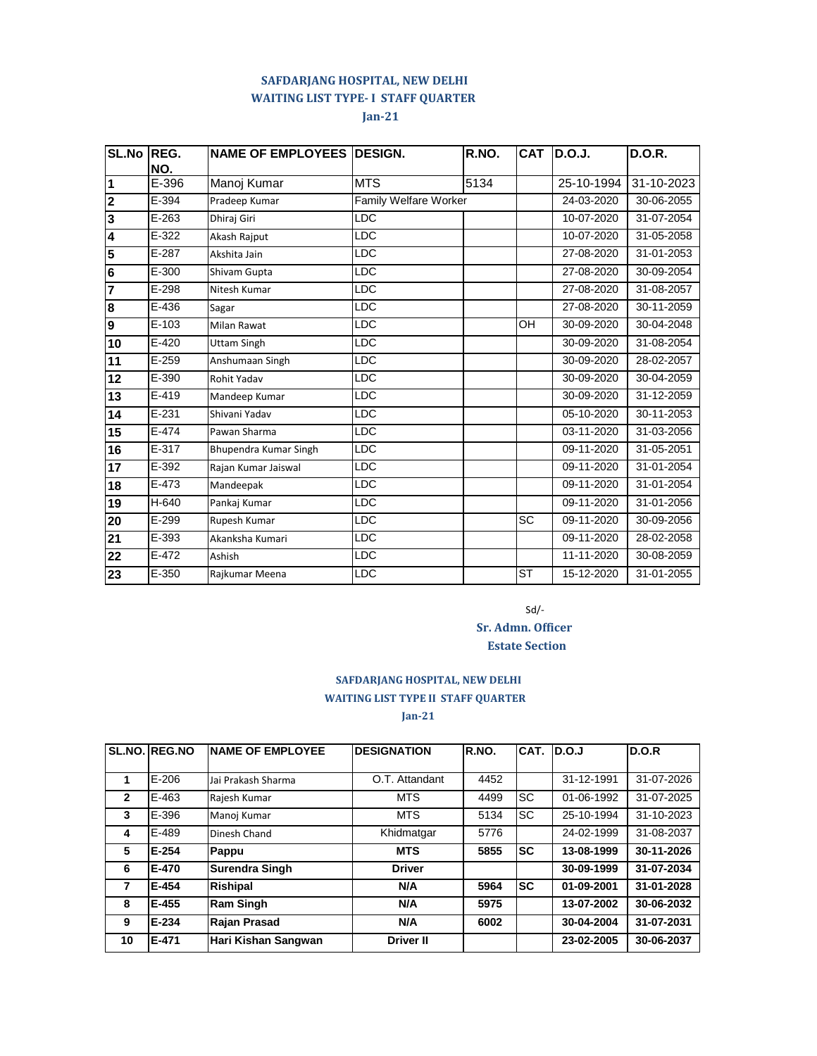## **SAFDARJANG HOSPITAL, NEW DELHI WAITING LIST TYPE- I STAFF QUARTER Jan-21**

| SL.No                   | <b>REG.</b> | <b>NAME OF EMPLOYEES DESIGN.</b> |                       | R.NO. | <b>CAT</b> | D.O.J.     | <b>D.O.R.</b> |
|-------------------------|-------------|----------------------------------|-----------------------|-------|------------|------------|---------------|
|                         | NO.         |                                  |                       |       |            |            |               |
| $\overline{1}$          | $E-396$     | Manoj Kumar                      | <b>MTS</b>            | 5134  |            | 25-10-1994 | 31-10-2023    |
| $\overline{\mathbf{2}}$ | E-394       | Pradeep Kumar                    | Family Welfare Worker |       |            | 24-03-2020 | 30-06-2055    |
| 3                       | $E - 263$   | Dhiraj Giri                      | LDC                   |       |            | 10-07-2020 | 31-07-2054    |
| $\overline{\mathbf{4}}$ | $E - 322$   | Akash Rajput                     | LDC                   |       |            | 10-07-2020 | 31-05-2058    |
| 5                       | $E-287$     | Akshita Jain                     | LDC                   |       |            | 27-08-2020 | 31-01-2053    |
| $\bf 6$                 | $E - 300$   | Shivam Gupta                     | LDC                   |       |            | 27-08-2020 | 30-09-2054    |
| $\overline{7}$          | $E - 298$   | Nitesh Kumar                     | LDC                   |       |            | 27-08-2020 | 31-08-2057    |
| 8                       | E-436       | Sagar                            | LDC                   |       |            | 27-08-2020 | 30-11-2059    |
| $\mathbf{9}$            | $E - 103$   | Milan Rawat                      | LDC                   |       | OН         | 30-09-2020 | 30-04-2048    |
| 10                      | $E - 420$   | <b>Uttam Singh</b>               | LDC                   |       |            | 30-09-2020 | 31-08-2054    |
| 11                      | $E - 259$   | Anshumaan Singh                  | LDC                   |       |            | 30-09-2020 | 28-02-2057    |
| $\overline{12}$         | E-390       | Rohit Yadav                      | LDC                   |       |            | 30-09-2020 | 30-04-2059    |
| 13                      | E-419       | Mandeep Kumar                    | LDC                   |       |            | 30-09-2020 | 31-12-2059    |
| $\overline{14}$         | $E - 231$   | Shivani Yadav                    | LDC                   |       |            | 05-10-2020 | 30-11-2053    |
| 15                      | E-474       | Pawan Sharma                     | <b>LDC</b>            |       |            | 03-11-2020 | 31-03-2056    |
| 16                      | $E - 317$   | Bhupendra Kumar Singh            | LDC                   |       |            | 09-11-2020 | 31-05-2051    |
| 17                      | E-392       | Rajan Kumar Jaiswal              | LDC                   |       |            | 09-11-2020 | 31-01-2054    |
| 18                      | E-473       | Mandeepak                        | LDC                   |       |            | 09-11-2020 | 31-01-2054    |
| $\overline{19}$         | H-640       | Pankaj Kumar                     | LDC                   |       |            | 09-11-2020 | 31-01-2056    |
| 20                      | E-299       | Rupesh Kumar                     | LDC                   |       | <b>SC</b>  | 09-11-2020 | 30-09-2056    |
| $\overline{21}$         | E-393       | Akanksha Kumari                  | LDC                   |       |            | 09-11-2020 | 28-02-2058    |
| 22                      | $E - 472$   | Ashish                           | <b>LDC</b>            |       |            | 11-11-2020 | 30-08-2059    |
| 23                      | $E - 350$   | Rajkumar Meena                   | <b>LDC</b>            |       | <b>ST</b>  | 15-12-2020 | 31-01-2055    |

Sd/-

**Sr. Admn. Officer Estate Section** 

## **SAFDARJANG HOSPITAL, NEW DELHI WAITING LIST TYPE II STAFF QUARTER Jan-21**

|                | <b>SL.NO. REG.NO</b> | <b>NAME OF EMPLOYEE</b> | <b>DESIGNATION</b> | R.NO. | CAT.      | ID.O.J     | D.O.R      |
|----------------|----------------------|-------------------------|--------------------|-------|-----------|------------|------------|
|                |                      |                         |                    |       |           |            |            |
|                | $E-206$              | Jai Prakash Sharma      | O.T. Attandant     | 4452  |           | 31-12-1991 | 31-07-2026 |
| $\overline{2}$ | E-463                | Rajesh Kumar            | <b>MTS</b>         | 4499  | <b>SC</b> | 01-06-1992 | 31-07-2025 |
| 3              | E-396                | Manoj Kumar             | <b>MTS</b>         | 5134  | <b>SC</b> | 25-10-1994 | 31-10-2023 |
| 4              | E-489                | Dinesh Chand            | Khidmatgar         | 5776  |           | 24-02-1999 | 31-08-2037 |
| 5              | $E-254$              | Pappu                   | <b>MTS</b>         | 5855  | <b>SC</b> | 13-08-1999 | 30-11-2026 |
| 6              | E-470                | <b>Surendra Singh</b>   | <b>Driver</b>      |       |           | 30-09-1999 | 31-07-2034 |
| 7              | E-454                | <b>Rishipal</b>         | N/A                | 5964  | <b>SC</b> | 01-09-2001 | 31-01-2028 |
| 8              | E-455                | <b>Ram Singh</b>        | N/A                | 5975  |           | 13-07-2002 | 30-06-2032 |
| 9              | E-234                | <b>Rajan Prasad</b>     | N/A                | 6002  |           | 30-04-2004 | 31-07-2031 |
| 10             | E-471                | Hari Kishan Sangwan     | Driver II          |       |           | 23-02-2005 | 30-06-2037 |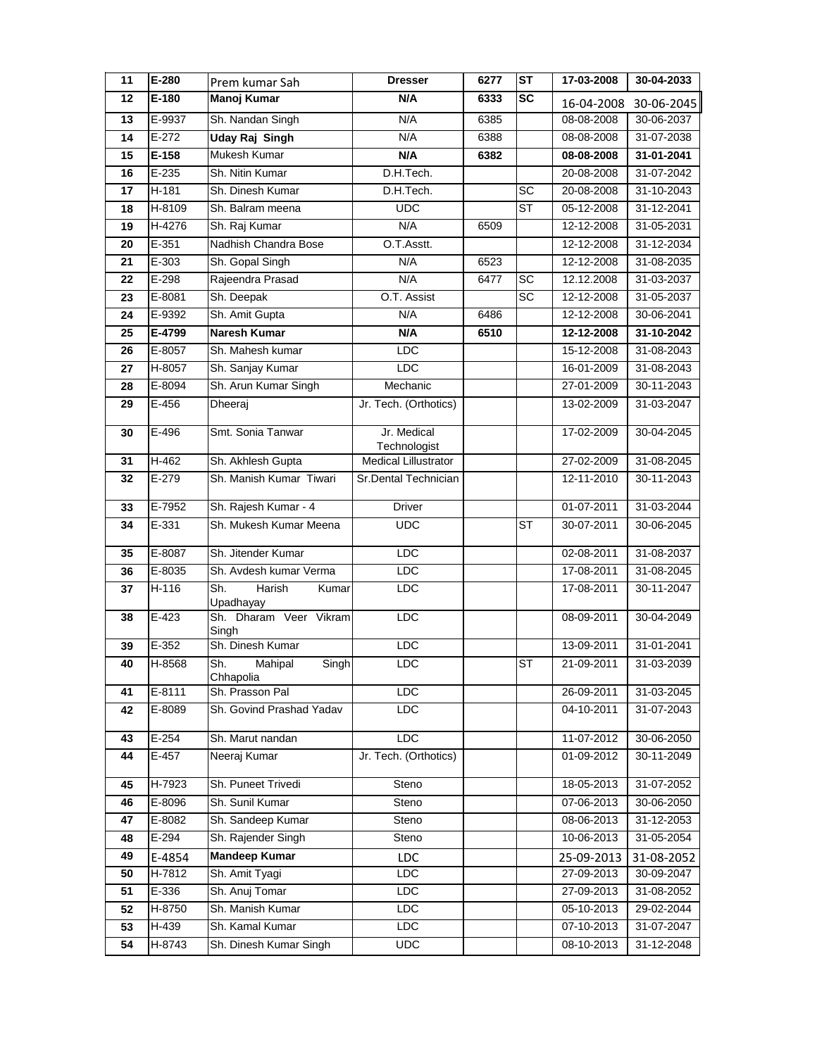| 11 | E-280      | Prem kumar Sah                       | <b>Dresser</b>              | 6277 | <b>ST</b> | 17-03-2008 | 30-04-2033 |
|----|------------|--------------------------------------|-----------------------------|------|-----------|------------|------------|
| 12 | E-180      | Manoj Kumar                          | N/A                         | 6333 | <b>SC</b> | 16-04-2008 | 30-06-2045 |
| 13 | E-9937     | Sh. Nandan Singh                     | N/A                         | 6385 |           | 08-08-2008 | 30-06-2037 |
| 14 | $E-272$    | <b>Uday Raj Singh</b>                | N/A                         | 6388 |           | 08-08-2008 | 31-07-2038 |
| 15 | E-158      | Mukesh Kumar                         | N/A                         | 6382 |           | 08-08-2008 | 31-01-2041 |
| 16 | E-235      | Sh. Nitin Kumar                      | D.H.Tech.                   |      |           | 20-08-2008 | 31-07-2042 |
| 17 | H-181      | Sh. Dinesh Kumar                     | D.H.Tech.                   |      | <b>SC</b> | 20-08-2008 | 31-10-2043 |
| 18 | H-8109     | Sh. Balram meena                     | <b>UDC</b>                  |      | <b>ST</b> | 05-12-2008 | 31-12-2041 |
| 19 | H-4276     | Sh. Raj Kumar                        | N/A                         | 6509 |           | 12-12-2008 | 31-05-2031 |
| 20 | E-351      | Nadhish Chandra Bose                 | O.T.Asstt.                  |      |           | 12-12-2008 | 31-12-2034 |
| 21 | E-303      | Sh. Gopal Singh                      | N/A                         | 6523 |           | 12-12-2008 | 31-08-2035 |
| 22 | E-298      | Rajeendra Prasad                     | N/A                         | 6477 | <b>SC</b> | 12.12.2008 | 31-03-2037 |
| 23 | E-8081     | Sh. Deepak                           | O.T. Assist                 |      | <b>SC</b> | 12-12-2008 | 31-05-2037 |
| 24 | E-9392     | Sh. Amit Gupta                       | N/A                         | 6486 |           | 12-12-2008 | 30-06-2041 |
| 25 | E-4799     | <b>Naresh Kumar</b>                  | N/A                         | 6510 |           | 12-12-2008 | 31-10-2042 |
| 26 | E-8057     | Sh. Mahesh kumar                     | LDC                         |      |           | 15-12-2008 | 31-08-2043 |
| 27 | H-8057     | Sh. Sanjay Kumar                     | <b>LDC</b>                  |      |           | 16-01-2009 | 31-08-2043 |
| 28 | E-8094     | Sh. Arun Kumar Singh                 | Mechanic                    |      |           | 27-01-2009 | 30-11-2043 |
| 29 | E-456      | Dheeraj                              | Jr. Tech. (Orthotics)       |      |           | 13-02-2009 | 31-03-2047 |
| 30 | E-496      | Smt. Sonia Tanwar                    | Jr. Medical<br>Technologist |      |           | 17-02-2009 | 30-04-2045 |
| 31 | H-462      | Sh. Akhlesh Gupta                    | <b>Medical Lillustrator</b> |      |           | 27-02-2009 | 31-08-2045 |
| 32 | E-279      | Sh. Manish Kumar Tiwari              | Sr.Dental Technician        |      |           | 12-11-2010 | 30-11-2043 |
| 33 | E-7952     | Sh. Rajesh Kumar - 4                 | Driver                      |      |           | 01-07-2011 | 31-03-2044 |
| 34 | E-331      | Sh. Mukesh Kumar Meena               | <b>UDC</b>                  |      | <b>ST</b> | 30-07-2011 | 30-06-2045 |
| 35 | E-8087     | Sh. Jitender Kumar                   | <b>LDC</b>                  |      |           | 02-08-2011 | 31-08-2037 |
| 36 | E-8035     | Sh. Avdesh kumar Verma               | <b>LDC</b>                  |      |           | 17-08-2011 | 31-08-2045 |
| 37 | H-116      | Sh.<br>Harish<br>Kumar<br>Upadhayay  | <b>LDC</b>                  |      |           | 17-08-2011 | 30-11-2047 |
| 38 | $E-423$    | Sh. Dharam Veer Vikram<br>Singh      | <b>LDC</b>                  |      |           | 08-09-2011 | 30-04-2049 |
| 39 | E-352      | Sh. Dinesh Kumar                     | LDC                         |      |           | 13-09-2011 | 31-01-2041 |
| 40 | H-8568     | Sh.<br>Mahipal<br>Singh<br>Chhapolia | LDC                         |      | <b>ST</b> | 21-09-2011 | 31-03-2039 |
| 41 | $E - 8111$ | Sh. Prasson Pal                      | LDC                         |      |           | 26-09-2011 | 31-03-2045 |
| 42 | E-8089     | Sh. Govind Prashad Yadav             | <b>LDC</b>                  |      |           | 04-10-2011 | 31-07-2043 |
| 43 | $E-254$    | Sh. Marut nandan                     | LDC                         |      |           | 11-07-2012 | 30-06-2050 |
| 44 | E-457      | Neeraj Kumar                         | Jr. Tech. (Orthotics)       |      |           | 01-09-2012 | 30-11-2049 |
| 45 | H-7923     | Sh. Puneet Trivedi                   | Steno                       |      |           | 18-05-2013 | 31-07-2052 |
| 46 | E-8096     | Sh. Sunil Kumar                      | Steno                       |      |           | 07-06-2013 | 30-06-2050 |
| 47 | E-8082     | Sh. Sandeep Kumar                    | Steno                       |      |           | 08-06-2013 | 31-12-2053 |
| 48 | $E-294$    | Sh. Rajender Singh                   | Steno                       |      |           | 10-06-2013 | 31-05-2054 |
| 49 | E-4854     | <b>Mandeep Kumar</b>                 | <b>LDC</b>                  |      |           | 25-09-2013 | 31-08-2052 |
| 50 | H-7812     | Sh. Amit Tyagi                       | <b>LDC</b>                  |      |           | 27-09-2013 | 30-09-2047 |
| 51 | E-336      | Sh. Anuj Tomar                       | <b>LDC</b>                  |      |           | 27-09-2013 | 31-08-2052 |
| 52 | H-8750     | Sh. Manish Kumar                     | <b>LDC</b>                  |      |           | 05-10-2013 | 29-02-2044 |
| 53 | H-439      | Sh. Kamal Kumar                      | <b>LDC</b>                  |      |           | 07-10-2013 | 31-07-2047 |
| 54 | H-8743     | Sh. Dinesh Kumar Singh               | <b>UDC</b>                  |      |           | 08-10-2013 | 31-12-2048 |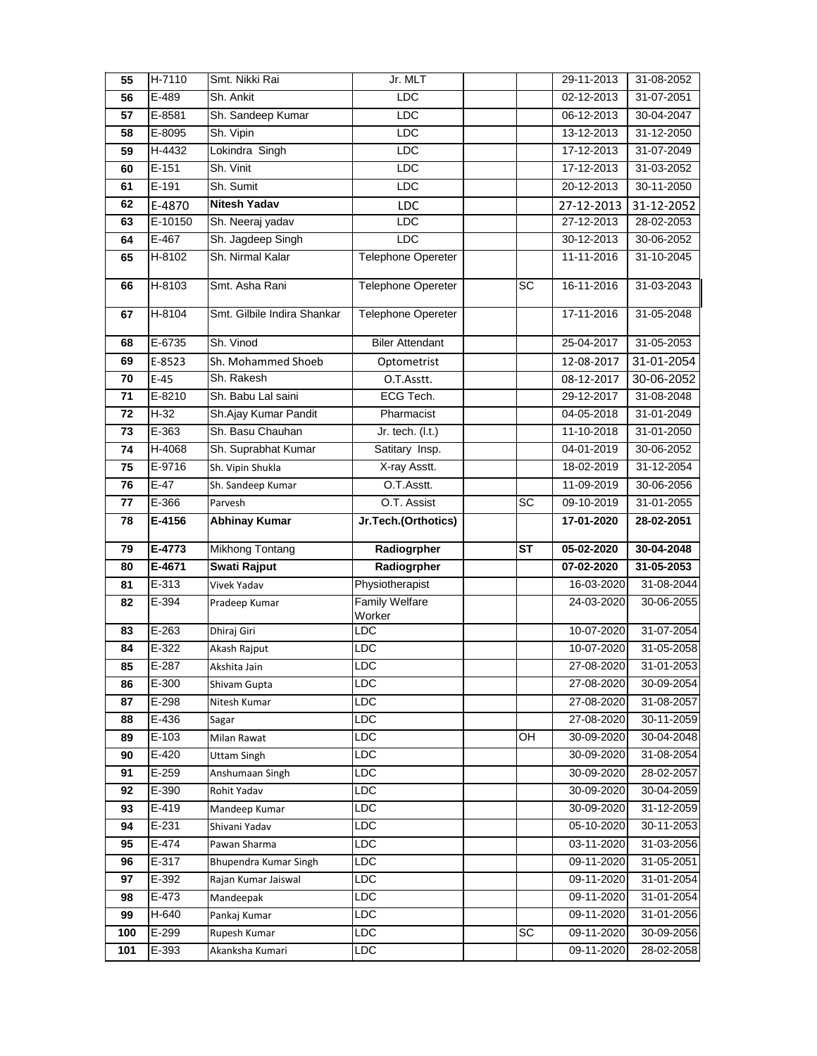| 55  | H-7110    | Smt. Nikki Rai              | Jr. MLT                         |           | 29-11-2013 | 31-08-2052       |
|-----|-----------|-----------------------------|---------------------------------|-----------|------------|------------------|
| 56  | E-489     | Sh. Ankit                   | <b>LDC</b>                      |           | 02-12-2013 | 31-07-2051       |
| 57  | E-8581    | Sh. Sandeep Kumar           | <b>LDC</b>                      |           | 06-12-2013 | 30-04-2047       |
| 58  | E-8095    | Sh. Vipin                   | <b>LDC</b>                      |           | 13-12-2013 | 31-12-2050       |
| 59  | H-4432    | Lokindra Singh              | <b>LDC</b>                      |           | 17-12-2013 | 31-07-2049       |
| 60  | $E-151$   | Sh. Vinit                   | <b>LDC</b>                      |           | 17-12-2013 | 31-03-2052       |
| 61  | $E-191$   | Sh. Sumit                   | LDC                             |           | 20-12-2013 | 30-11-2050       |
| 62  | E-4870    | <b>Nitesh Yadav</b>         | LDC                             |           | 27-12-2013 | 31-12-2052       |
| 63  | E-10150   | Sh. Neeraj yadav            | <b>LDC</b>                      |           | 27-12-2013 | 28-02-2053       |
| 64  | $E-467$   | Sh. Jagdeep Singh           | <b>LDC</b>                      |           | 30-12-2013 | 30-06-2052       |
| 65  | H-8102    | Sh. Nirmal Kalar            | <b>Telephone Opereter</b>       |           | 11-11-2016 | $31 - 10 - 2045$ |
| 66  | H-8103    | Smt. Asha Rani              | <b>Telephone Opereter</b>       | SC        | 16-11-2016 | 31-03-2043       |
| 67  | H-8104    | Smt. Gilbile Indira Shankar | <b>Telephone Opereter</b>       |           | 17-11-2016 | 31-05-2048       |
| 68  | E-6735    | Sh. Vinod                   | <b>Biler Attendant</b>          |           | 25-04-2017 | 31-05-2053       |
| 69  | E-8523    | Sh. Mohammed Shoeb          | Optometrist                     |           | 12-08-2017 | 31-01-2054       |
| 70  | $E-45$    | Sh. Rakesh                  | O.T.Asstt.                      |           | 08-12-2017 | 30-06-2052       |
| 71  | E-8210    | Sh. Babu Lal saini          | ECG Tech.                       |           | 29-12-2017 | 31-08-2048       |
| 72  | $H-32$    | Sh.Ajay Kumar Pandit        | Pharmacist                      |           | 04-05-2018 | 31-01-2049       |
| 73  | $E-363$   | Sh. Basu Chauhan            | Jr. tech. (I.t.)                |           | 11-10-2018 | 31-01-2050       |
| 74  | H-4068    | Sh. Suprabhat Kumar         | Satitary Insp.                  |           | 04-01-2019 | 30-06-2052       |
| 75  | E-9716    | Sh. Vipin Shukla            | X-ray Asstt.                    |           | 18-02-2019 | 31-12-2054       |
| 76  | $E-47$    | Sh. Sandeep Kumar           | O.T.Asstt.                      |           | 11-09-2019 | 30-06-2056       |
| 77  | E-366     | Parvesh                     | O.T. Assist                     | SC        | 09-10-2019 | 31-01-2055       |
|     |           |                             |                                 |           |            |                  |
| 78  | E-4156    | <b>Abhinay Kumar</b>        | Jr.Tech.(Orthotics)             |           | 17-01-2020 | 28-02-2051       |
| 79  | E-4773    | <b>Mikhong Tontang</b>      | Radiogrpher                     | <b>ST</b> | 05-02-2020 | 30-04-2048       |
| 80  | E-4671    | <b>Swati Rajput</b>         | Radiogrpher                     |           | 07-02-2020 | 31-05-2053       |
| 81  | $E - 313$ | Vivek Yadav                 | Physiotherapist                 |           | 16-03-2020 | 31-08-2044       |
| 82  | E-394     | Pradeep Kumar               | <b>Family Welfare</b><br>Worker |           | 24-03-2020 | 30-06-2055       |
| 83  | E-263     | Dhiraj Giri                 | LDC                             |           | 10-07-2020 | 31-07-2054       |
| 84  | E-322     | Akash Rajput                | LDC                             |           | 10-07-2020 | 31-05-2058       |
| 85  | E-287     | Akshita Jain                | LDC                             |           | 27-08-2020 | 31-01-2053       |
| 86  | $E - 300$ | Shivam Gupta                | LDC                             |           | 27-08-2020 | 30-09-2054       |
| 87  | $E-298$   | Nitesh Kumar                | $_{\text{LDC}}$                 |           | 27-08-2020 | 31-08-2057       |
| 88  | E-436     | Sagar                       | LDC                             |           | 27-08-2020 | 30-11-2059       |
| 89  | $E-103$   | Milan Rawat                 | LDC                             | OH        | 30-09-2020 | 30-04-2048       |
| 90  | E-420     | <b>Uttam Singh</b>          | LDC                             |           | 30-09-2020 | 31-08-2054       |
| 91  | E-259     | Anshumaan Singh             | LDC                             |           | 30-09-2020 | 28-02-2057       |
| 92  | E-390     | Rohit Yadav                 | LDC                             |           | 30-09-2020 | 30-04-2059       |
| 93  | E-419     | Mandeep Kumar               | LDC                             |           | 30-09-2020 | 31-12-2059       |
| 94  | E-231     | Shivani Yadav               | LDC                             |           | 05-10-2020 | 30-11-2053       |
| 95  | $E-474$   | Pawan Sharma                | LDC                             |           | 03-11-2020 | 31-03-2056       |
| 96  | $E-317$   | Bhupendra Kumar Singh       | $_{\text{LDC}}$                 |           | 09-11-2020 | 31-05-2051       |
| 97  | E-392     | Rajan Kumar Jaiswal         | $_{\text{LDC}}$                 |           | 09-11-2020 | 31-01-2054       |
| 98  | E-473     | Mandeepak                   | LDC                             |           | 09-11-2020 | 31-01-2054       |
| 99  | H-640     | Pankaj Kumar                | <b>LDC</b>                      |           | 09-11-2020 | 31-01-2056       |
| 100 | E-299     | Rupesh Kumar                | LDC                             | SC        | 09-11-2020 | 30-09-2056       |
| 101 | E-393     | Akanksha Kumari             | <b>LDC</b>                      |           | 09-11-2020 | 28-02-2058       |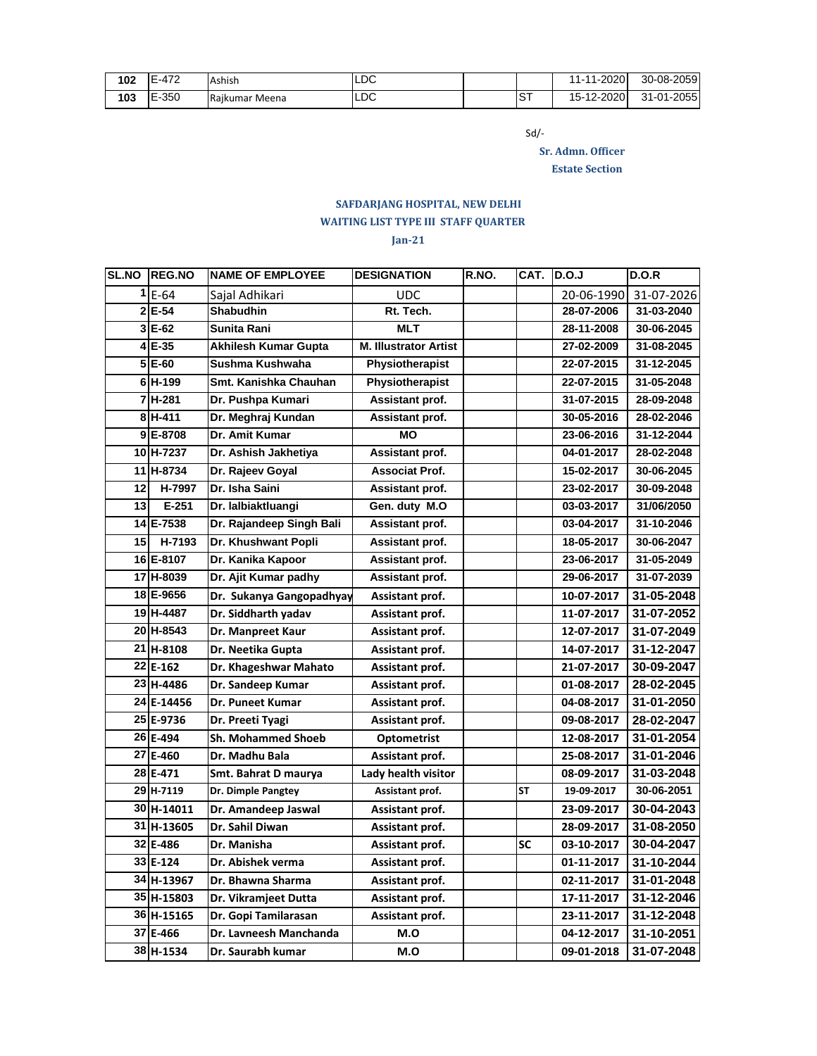| 102 | ΙE<br>$-47^\circ$<br>11 L | Ashish         | ILDC |             | 1-2020<br>44 44<br>. . | 30-08-2059 |
|-----|---------------------------|----------------|------|-------------|------------------------|------------|
| 103 | IE-:<br>350               | Raikumar Meena | ILDC | $\sim$<br>౿ | 15-12-2020             | 31-01-2055 |

Sd/-

**Sr. Admn. Officer Estate Section** 

## **SAFDARJANG HOSPITAL, NEW DELHI WAITING LIST TYPE III STAFF QUARTER**

#### **Jan-21**

| <b>SL.NO</b> | <b>REG.NO</b> | <b>NAME OF EMPLOYEE</b>     | <b>DESIGNATION</b>           | R.NO. | CAT.      | D.O.J      | <b>D.O.R</b> |
|--------------|---------------|-----------------------------|------------------------------|-------|-----------|------------|--------------|
|              | $1E-64$       | Sajal Adhikari              | <b>UDC</b>                   |       |           | 20-06-1990 | 31-07-2026   |
|              | 2E-54         | <b>Shabudhin</b>            | Rt. Tech.                    |       |           | 28-07-2006 | 31-03-2040   |
|              | $3E-62$       | Sunita Rani                 | <b>MLT</b>                   |       |           | 28-11-2008 | 30-06-2045   |
| 41           | E-35          | <b>Akhilesh Kumar Gupta</b> | <b>M. Illustrator Artist</b> |       |           | 27-02-2009 | 31-08-2045   |
|              | $5$ $E-60$    | Sushma Kushwaha             | Physiotherapist              |       |           | 22-07-2015 | 31-12-2045   |
|              | 6H-199        | Smt. Kanishka Chauhan       | Physiotherapist              |       |           | 22-07-2015 | 31-05-2048   |
|              | 7H-281        | Dr. Pushpa Kumari           | Assistant prof.              |       |           | 31-07-2015 | 28-09-2048   |
|              | 8H-411        | Dr. Meghraj Kundan          | Assistant prof.              |       |           | 30-05-2016 | 28-02-2046   |
|              | 9E-8708       | Dr. Amit Kumar              | <b>MO</b>                    |       |           | 23-06-2016 | 31-12-2044   |
|              | 10H-7237      | Dr. Ashish Jakhetiya        | Assistant prof.              |       |           | 04-01-2017 | 28-02-2048   |
|              | 11 H-8734     | Dr. Rajeev Goyal            | <b>Associat Prof.</b>        |       |           | 15-02-2017 | 30-06-2045   |
| 12           | H-7997        | Dr. Isha Saini              | Assistant prof.              |       |           | 23-02-2017 | 30-09-2048   |
| 13           | $E-251$       | Dr. lalbiaktluangi          | Gen. duty M.O                |       |           | 03-03-2017 | 31/06/2050   |
|              | 14 E-7538     | Dr. Rajandeep Singh Bali    | Assistant prof.              |       |           | 03-04-2017 | 31-10-2046   |
| 15           | H-7193        | Dr. Khushwant Popli         | Assistant prof.              |       |           | 18-05-2017 | 30-06-2047   |
|              | 16 E-8107     | Dr. Kanika Kapoor           | Assistant prof.              |       |           | 23-06-2017 | 31-05-2049   |
|              | 17 H-8039     | Dr. Ajit Kumar padhy        | Assistant prof.              |       |           | 29-06-2017 | 31-07-2039   |
|              | 18 E-9656     | Dr. Sukanya Gangopadhyay    | Assistant prof.              |       |           | 10-07-2017 | 31-05-2048   |
|              | 19 H-4487     | Dr. Siddharth yadav         | Assistant prof.              |       |           | 11-07-2017 | 31-07-2052   |
|              | 20 H-8543     | Dr. Manpreet Kaur           | Assistant prof.              |       |           | 12-07-2017 | 31-07-2049   |
|              | 21 H-8108     | Dr. Neetika Gupta           | Assistant prof.              |       |           | 14-07-2017 | 31-12-2047   |
|              | 22 E-162      | Dr. Khageshwar Mahato       | Assistant prof.              |       |           | 21-07-2017 | 30-09-2047   |
|              | 23 H-4486     | Dr. Sandeep Kumar           | Assistant prof.              |       |           | 01-08-2017 | 28-02-2045   |
|              | 24 E-14456    | Dr. Puneet Kumar            | Assistant prof.              |       |           | 04-08-2017 | 31-01-2050   |
|              | 25 E-9736     | Dr. Preeti Tyagi            | Assistant prof.              |       |           | 09-08-2017 | 28-02-2047   |
|              | 26 E-494      | <b>Sh. Mohammed Shoeb</b>   | <b>Optometrist</b>           |       |           | 12-08-2017 | 31-01-2054   |
|              | 27 E-460      | Dr. Madhu Bala              | Assistant prof.              |       |           | 25-08-2017 | 31-01-2046   |
|              | 28 E-471      | Smt. Bahrat D maurya        | Lady health visitor          |       |           | 08-09-2017 | 31-03-2048   |
|              | 29H-7119      | Dr. Dimple Pangtey          | Assistant prof.              |       | <b>ST</b> | 19-09-2017 | 30-06-2051   |
|              | 30 H-14011    | Dr. Amandeep Jaswal         | Assistant prof.              |       |           | 23-09-2017 | 30-04-2043   |
|              | 31 H-13605    | Dr. Sahil Diwan             | Assistant prof.              |       |           | 28-09-2017 | 31-08-2050   |
|              | $32$ E-486    | Dr. Manisha                 | Assistant prof.              |       | <b>SC</b> | 03-10-2017 | 30-04-2047   |
|              | 33 E-124      | Dr. Abishek verma           | Assistant prof.              |       |           | 01-11-2017 | 31-10-2044   |
|              | 34 H-13967    | Dr. Bhawna Sharma           | Assistant prof.              |       |           | 02-11-2017 | 31-01-2048   |
|              | 35 H-15803    | Dr. Vikramjeet Dutta        | Assistant prof.              |       |           | 17-11-2017 | 31-12-2046   |
|              | 36 H-15165    | Dr. Gopi Tamilarasan        | Assistant prof.              |       |           | 23-11-2017 | 31-12-2048   |
|              | 37 E-466      | Dr. Lavneesh Manchanda      | M.O                          |       |           | 04-12-2017 | 31-10-2051   |
|              | 38 H-1534     | Dr. Saurabh kumar           | M.O                          |       |           | 09-01-2018 | 31-07-2048   |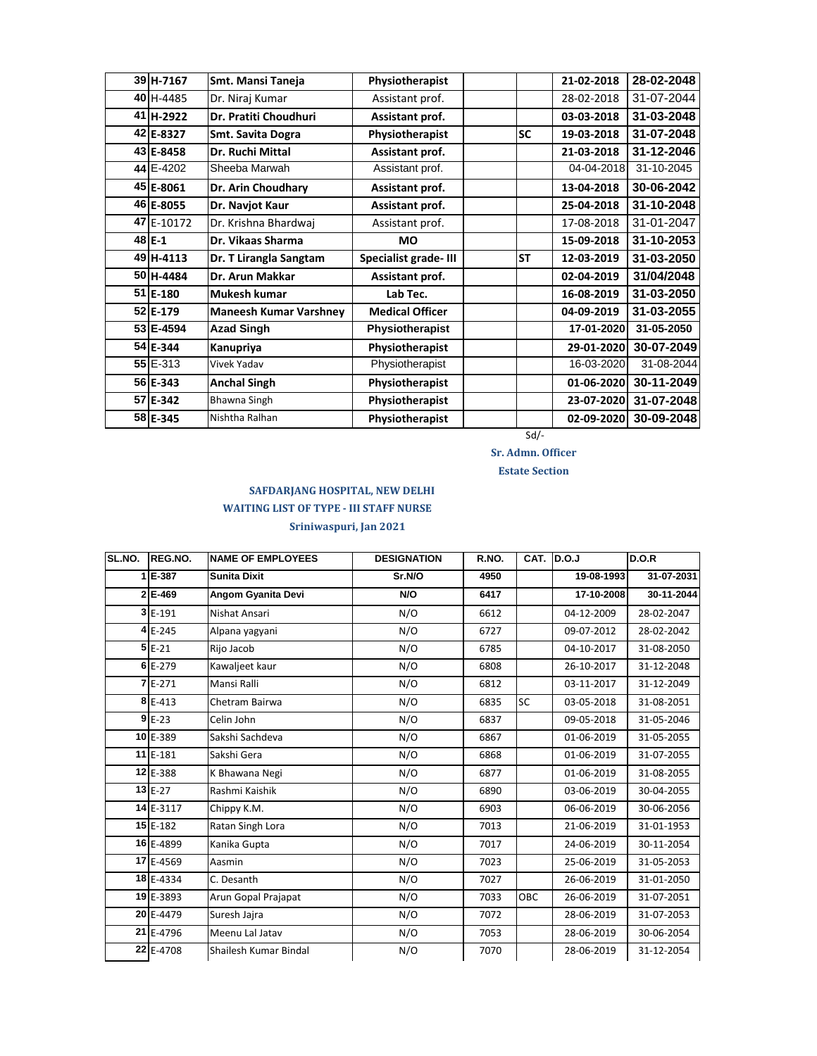| 39 H-7167             | Smt. Mansi Taneja             | Physiotherapist        |           | 21-02-2018 | 28-02-2048 |
|-----------------------|-------------------------------|------------------------|-----------|------------|------------|
| 40 H-4485             | Dr. Niraj Kumar               | Assistant prof.        |           | 28-02-2018 | 31-07-2044 |
| 41 <sub>H</sub> -2922 | Dr. Pratiti Choudhuri         | Assistant prof.        |           | 03-03-2018 | 31-03-2048 |
| 42 E-8327             | Smt. Savita Dogra             | Physiotherapist        | <b>SC</b> | 19-03-2018 | 31-07-2048 |
| 43 E-8458             | Dr. Ruchi Mittal              | Assistant prof.        |           | 21-03-2018 | 31-12-2046 |
| 44 E-4202             | Sheeba Marwah                 | Assistant prof.        |           | 04-04-2018 | 31-10-2045 |
| 45 E-8061             | Dr. Arin Choudhary            | Assistant prof.        |           | 13-04-2018 | 30-06-2042 |
| 46 E-8055             | Dr. Navjot Kaur               | Assistant prof.        |           | 25-04-2018 | 31-10-2048 |
| 47 E-10172            | Dr. Krishna Bhardwaj          | Assistant prof.        |           | 17-08-2018 | 31-01-2047 |
| $48$ E-1              | Dr. Vikaas Sharma             | <b>MO</b>              |           | 15-09-2018 | 31-10-2053 |
| 49 <sub>H-4113</sub>  | Dr. T Lirangla Sangtam        | Specialist grade-III   | <b>ST</b> | 12-03-2019 | 31-03-2050 |
| 50 H-4484             | Dr. Arun Makkar               | Assistant prof.        |           | 02-04-2019 | 31/04/2048 |
| 51 E-180              | Mukesh kumar                  | Lab Tec.               |           | 16-08-2019 | 31-03-2050 |
| 52 E-179              | <b>Maneesh Kumar Varshney</b> | <b>Medical Officer</b> |           | 04-09-2019 | 31-03-2055 |
| 53 E-4594             | <b>Azad Singh</b>             | Physiotherapist        |           | 17-01-2020 | 31-05-2050 |
| 54 E-344              | Kanupriya                     | Physiotherapist        |           | 29-01-2020 | 30-07-2049 |
| 55 E-313              | Vivek Yadav                   | Physiotherapist        |           | 16-03-2020 | 31-08-2044 |
| 56 E-343              | <b>Anchal Singh</b>           | Physiotherapist        |           | 01-06-2020 | 30-11-2049 |
| 57 E-342              | Bhawna Singh                  | Physiotherapist        |           | 23-07-2020 | 31-07-2048 |
| 58 E-345              | Nishtha Ralhan                | Physiotherapist        |           | 02-09-2020 | 30-09-2048 |

Sd/-

**Sr. Admn. Officer Estate Section** 

## **SAFDARJANG HOSPITAL, NEW DELHI WAITING LIST OF TYPE - III STAFF NURSE Sriniwaspuri, Jan 2021**

| SL.NO. | REG.NO.               | <b>NAME OF EMPLOYEES</b> | <b>DESIGNATION</b> | R.NO. |           | CAT. D.O.J | D.O.R      |
|--------|-----------------------|--------------------------|--------------------|-------|-----------|------------|------------|
|        | 1 E-387               | <b>Sunita Dixit</b>      | Sr.N/O             | 4950  |           | 19-08-1993 | 31-07-2031 |
|        | $2E-469$              | Angom Gyanita Devi       | N/O                | 6417  |           | 17-10-2008 | 30-11-2044 |
|        | $3E-191$              | Nishat Ansari            | N/O                | 6612  |           | 04-12-2009 | 28-02-2047 |
|        | $4E-245$              | Alpana yagyani           | N/O                | 6727  |           | 09-07-2012 | 28-02-2042 |
|        | $5E-21$               | Rijo Jacob               | N/O                | 6785  |           | 04-10-2017 | 31-08-2050 |
|        | $6E-279$              | Kawaljeet kaur           | N/O                | 6808  |           | 26-10-2017 | 31-12-2048 |
|        | $7E-271$              | Mansi Ralli              | N/O                | 6812  |           | 03-11-2017 | 31-12-2049 |
|        | 8 E-413               | Chetram Bairwa           | N/O                | 6835  | <b>SC</b> | 03-05-2018 | 31-08-2051 |
|        | $9E-23$               | Celin John               | N/O                | 6837  |           | 09-05-2018 | 31-05-2046 |
|        | 10 E-389              | Sakshi Sachdeva          | N/O                | 6867  |           | 01-06-2019 | 31-05-2055 |
|        | $\overline{11}$ E-181 | Sakshi Gera              | N/O                | 6868  |           | 01-06-2019 | 31-07-2055 |
|        | 12 E-388              | K Bhawana Negi           | N/O                | 6877  |           | 01-06-2019 | 31-08-2055 |
|        | $13E-27$              | Rashmi Kaishik           | N/O                | 6890  |           | 03-06-2019 | 30-04-2055 |
|        | 14 E-3117             | Chippy K.M.              | N/O                | 6903  |           | 06-06-2019 | 30-06-2056 |
|        | $15E-182$             | Ratan Singh Lora         | N/O                | 7013  |           | 21-06-2019 | 31-01-1953 |
|        | 16 E-4899             | Kanika Gupta             | N/O                | 7017  |           | 24-06-2019 | 30-11-2054 |
|        | 17 E-4569             | Aasmin                   | N/O                | 7023  |           | 25-06-2019 | 31-05-2053 |
|        | 18 E-4334             | C. Desanth               | N/O                | 7027  |           | 26-06-2019 | 31-01-2050 |
|        | 19 E-3893             | Arun Gopal Prajapat      | N/O                | 7033  | OBC       | 26-06-2019 | 31-07-2051 |
|        | 20 E-4479             | Suresh Jajra             | N/O                | 7072  |           | 28-06-2019 | 31-07-2053 |
|        | 21 E-4796             | Meenu Lal Jatav          | N/O                | 7053  |           | 28-06-2019 | 30-06-2054 |
|        | 22 E-4708             | Shailesh Kumar Bindal    | N/O                | 7070  |           | 28-06-2019 | 31-12-2054 |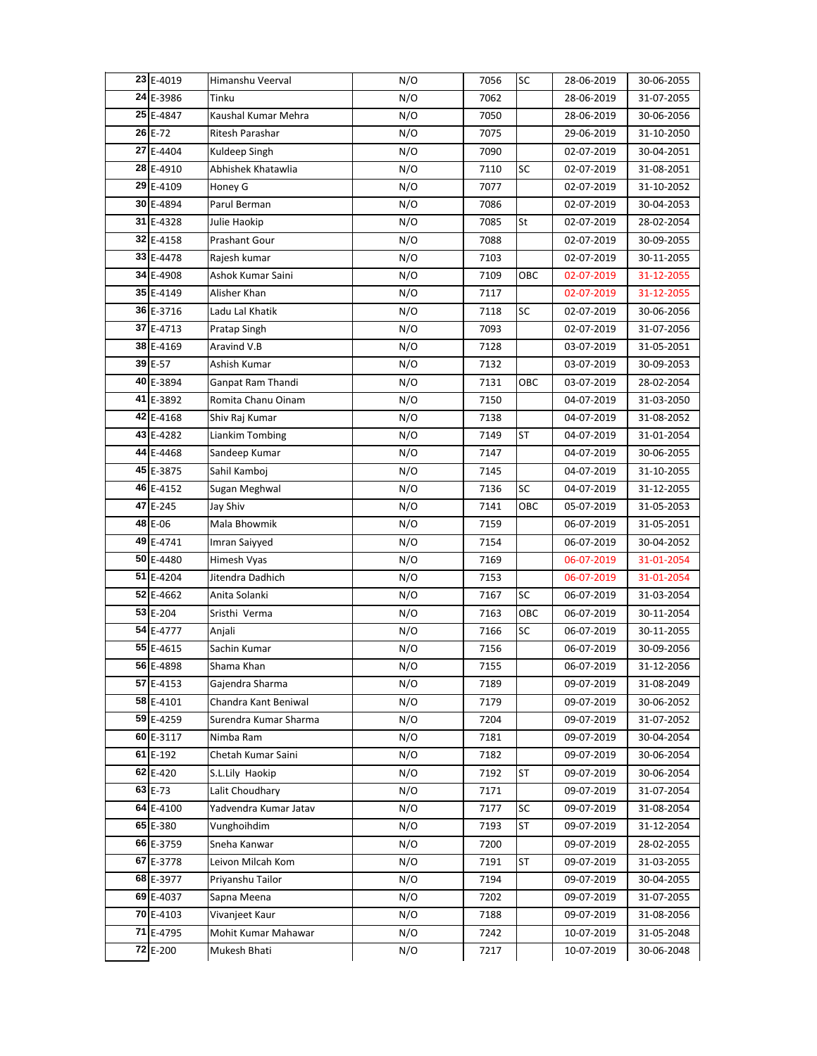| 23 E-4019             | Himanshu Veerval                    | N/O        | 7056 | <b>SC</b> | 28-06-2019               | 30-06-2055               |
|-----------------------|-------------------------------------|------------|------|-----------|--------------------------|--------------------------|
| 24 E-3986             | Tinku                               | N/O        | 7062 |           | 28-06-2019               | 31-07-2055               |
| 25 E-4847             | Kaushal Kumar Mehra                 | N/O        | 7050 |           | 28-06-2019               | 30-06-2056               |
| 26 E-72               | Ritesh Parashar                     | N/O        | 7075 |           | 29-06-2019               | 31-10-2050               |
| 27 E-4404             | Kuldeep Singh                       | N/O        | 7090 |           | 02-07-2019               | 30-04-2051               |
| 28 E-4910             | Abhishek Khatawlia                  | N/O        | 7110 | SC        | 02-07-2019               | 31-08-2051               |
| 29 E-4109             | Honey G                             | N/O        | 7077 |           | 02-07-2019               | 31-10-2052               |
| 30 E-4894             | Parul Berman                        | N/O        | 7086 |           | 02-07-2019               | 30-04-2053               |
| 31 E-4328             | Julie Haokip                        | N/O        | 7085 | St        | 02-07-2019               | 28-02-2054               |
| 32 E-4158             | <b>Prashant Gour</b>                | N/O        | 7088 |           | 02-07-2019               | 30-09-2055               |
| 33 E-4478             | Rajesh kumar                        | N/O        | 7103 |           | 02-07-2019               | 30-11-2055               |
| 34 E-4908             | Ashok Kumar Saini                   | N/O        | 7109 | OBC       | 02-07-2019               | 31-12-2055               |
| 35 E-4149             | Alisher Khan                        | N/O        | 7117 |           | 02-07-2019               | 31-12-2055               |
| 36 E-3716             | Ladu Lal Khatik                     | N/O        | 7118 | <b>SC</b> | 02-07-2019               | 30-06-2056               |
| 37 E-4713             | Pratap Singh                        | N/O        | 7093 |           | 02-07-2019               | 31-07-2056               |
| 38 E-4169             | Aravind V.B                         | N/O        | 7128 |           | 03-07-2019               | 31-05-2051               |
| 39 E-57               | Ashish Kumar                        | N/O        | 7132 |           | 03-07-2019               | 30-09-2053               |
| 40 E-3894             | Ganpat Ram Thandi                   | N/O        | 7131 | OBC       | 03-07-2019               | 28-02-2054               |
| 41 E-3892             | Romita Chanu Oinam                  | N/O        | 7150 |           | 04-07-2019               | 31-03-2050               |
| 42 E-4168             | Shiv Raj Kumar                      | N/O        | 7138 |           | 04-07-2019               | 31-08-2052               |
| 43 E-4282             | Liankim Tombing                     | N/O        | 7149 | <b>ST</b> | 04-07-2019               | 31-01-2054               |
| 44 E-4468             | Sandeep Kumar                       | N/O        | 7147 |           | 04-07-2019               | 30-06-2055               |
| 45 E-3875             | Sahil Kamboj                        | N/O        | 7145 |           | 04-07-2019               | 31-10-2055               |
| 46 E-4152             | Sugan Meghwal                       | N/O        | 7136 | SC        | 04-07-2019               | 31-12-2055               |
| 47 E-245              | Jay Shiv                            | N/O        | 7141 | OBC       | 05-07-2019               | 31-05-2053               |
| 48 E-06               | Mala Bhowmik                        | N/O        | 7159 |           | 06-07-2019               | 31-05-2051               |
| 49 E-4741             | Imran Saiyyed                       | N/O        | 7154 |           | 06-07-2019               | 30-04-2052               |
| 50 E-4480             | Himesh Vyas                         | N/O        | 7169 |           | 06-07-2019               | 31-01-2054               |
| $51E-4204$            | Jitendra Dadhich                    | N/O        | 7153 |           | 06-07-2019               | 31-01-2054               |
| $52$ E-4662           | Anita Solanki                       | N/O        | 7167 | <b>SC</b> | 06-07-2019               | 31-03-2054               |
| 53 E-204              | Sristhi Verma                       | N/O        | 7163 | OBC       | 06-07-2019               | 30-11-2054               |
| 54 E-4777             | Anjali                              | N/O        | 7166 | <b>SC</b> | 06-07-2019               | 30-11-2055               |
| 55 E-4615             | Sachin Kumar                        | N/O        | 7156 |           | 06-07-2019               | 30-09-2056               |
| 56 E-4898             | Shama Khan                          | N/O        | 7155 |           | 06-07-2019               | 31-12-2056               |
| 57 E-4153             | Gajendra Sharma                     | N/O        | 7189 |           | 09-07-2019               | 31-08-2049               |
| 58 E-4101             | Chandra Kant Beniwal                | N/O        | 7179 |           | 09-07-2019               | 30-06-2052               |
| 59 E-4259             | Surendra Kumar Sharma               | N/O        | 7204 |           | 09-07-2019               | 31-07-2052               |
| 60 E-3117             | Nimba Ram                           | N/O        | 7181 |           | 09-07-2019               | 30-04-2054               |
| 61 E-192              | Chetah Kumar Saini                  | N/O        | 7182 |           | 09-07-2019               | 30-06-2054               |
| 62 E-420              | S.L.Lily Haokip                     | N/O        | 7192 | <b>ST</b> | 09-07-2019               | 30-06-2054               |
| 63 E-73               | Lalit Choudhary                     | N/O        | 7171 |           | 09-07-2019               | 31-07-2054               |
| 64 E-4100             | Yadvendra Kumar Jatav               | N/O        | 7177 | SC        | 09-07-2019               | 31-08-2054               |
| 65 E-380              | Vunghoihdim                         | N/O        | 7193 | ST        | 09-07-2019               | 31-12-2054               |
| 66 E-3759             | Sneha Kanwar                        | N/O        | 7200 |           | 09-07-2019               | 28-02-2055               |
| 67 E-3778             | Leivon Milcah Kom                   | N/O        | 7191 | <b>ST</b> | 09-07-2019               | 31-03-2055               |
| 68 E-3977             | Priyanshu Tailor                    | N/O        | 7194 |           | 09-07-2019               | 30-04-2055               |
| 69 E-4037             | Sapna Meena                         | N/O        | 7202 |           | 09-07-2019               | 31-07-2055               |
| 70 E-4103             | Vivanjeet Kaur                      | N/O<br>N/O | 7188 |           | 09-07-2019<br>10-07-2019 | 31-08-2056               |
|                       |                                     |            | 7242 |           |                          |                          |
| 71 E-4795<br>72 E-200 | Mohit Kumar Mahawar<br>Mukesh Bhati | N/O        | 7217 |           | 10-07-2019               | 31-05-2048<br>30-06-2048 |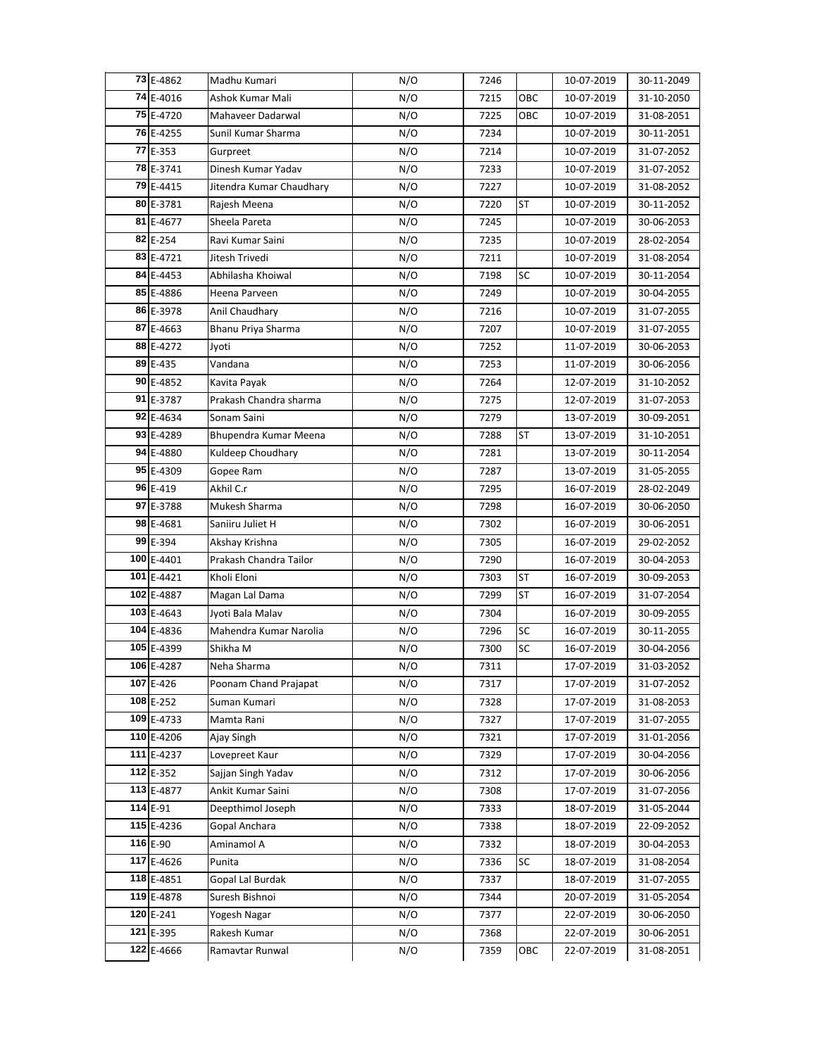| 73 E-4862              | Madhu Kumari             | N/O | 7246 |           | 10-07-2019 | 30-11-2049 |
|------------------------|--------------------------|-----|------|-----------|------------|------------|
| 74 E-4016              | Ashok Kumar Mali         | N/O | 7215 | OBC       | 10-07-2019 | 31-10-2050 |
| 75 E-4720              | Mahaveer Dadarwal        | N/O | 7225 | OBC       | 10-07-2019 | 31-08-2051 |
| 76 E-4255              | Sunil Kumar Sharma       | N/O | 7234 |           | 10-07-2019 | 30-11-2051 |
| 77 E-353               | Gurpreet                 | N/O | 7214 |           | 10-07-2019 | 31-07-2052 |
| 78 E-3741              | Dinesh Kumar Yadav       | N/O | 7233 |           | 10-07-2019 | 31-07-2052 |
| 79 E-4415              | Jitendra Kumar Chaudhary | N/O | 7227 |           | 10-07-2019 | 31-08-2052 |
| 80 E-3781              | Rajesh Meena             | N/O | 7220 | <b>ST</b> | 10-07-2019 | 30-11-2052 |
| 81 E-4677              | Sheela Pareta            | N/O | 7245 |           | 10-07-2019 | 30-06-2053 |
| 82 E-254               | Ravi Kumar Saini         | N/O | 7235 |           | 10-07-2019 | 28-02-2054 |
| 83 E-4721              | Jitesh Trivedi           | N/O | 7211 |           | 10-07-2019 | 31-08-2054 |
| 84 E-4453              | Abhilasha Khoiwal        | N/O | 7198 | SC        | 10-07-2019 | 30-11-2054 |
| 85 E-4886              | Heena Parveen            | N/O | 7249 |           | 10-07-2019 | 30-04-2055 |
| 86 E-3978              | Anil Chaudhary           | N/O | 7216 |           | 10-07-2019 | 31-07-2055 |
| 87 E-4663              | Bhanu Priya Sharma       | N/O | 7207 |           | 10-07-2019 | 31-07-2055 |
| 88 E-4272              | Jyoti                    | N/O | 7252 |           | 11-07-2019 | 30-06-2053 |
| 89 E-435               | Vandana                  | N/O | 7253 |           | 11-07-2019 | 30-06-2056 |
| 90 E-4852              | Kavita Payak             | N/O | 7264 |           | 12-07-2019 | 31-10-2052 |
| 91 E-3787              | Prakash Chandra sharma   | N/O | 7275 |           | 12-07-2019 | 31-07-2053 |
| $\overline{92}$ E-4634 | Sonam Saini              | N/O | 7279 |           | 13-07-2019 | 30-09-2051 |
| 93 E-4289              | Bhupendra Kumar Meena    | N/O | 7288 | ST        | 13-07-2019 | 31-10-2051 |
| 94 E-4880              | Kuldeep Choudhary        | N/O | 7281 |           | 13-07-2019 | 30-11-2054 |
| 95 E-4309              | Gopee Ram                | N/O | 7287 |           | 13-07-2019 | 31-05-2055 |
| 96 E-419               | Akhil C.r                | N/O | 7295 |           | 16-07-2019 | 28-02-2049 |
| 97 E-3788              | Mukesh Sharma            | N/O | 7298 |           | 16-07-2019 | 30-06-2050 |
| 98 E-4681              | Saniiru Juliet H         | N/O | 7302 |           | 16-07-2019 | 30-06-2051 |
| 99 E-394               | Akshay Krishna           | N/O | 7305 |           | 16-07-2019 | 29-02-2052 |
| 100 E-4401             | Prakash Chandra Tailor   | N/O | 7290 |           | 16-07-2019 | 30-04-2053 |
| 101 E-4421             | Kholi Eloni              | N/O | 7303 | <b>ST</b> | 16-07-2019 | 30-09-2053 |
| 102 E-4887             | Magan Lal Dama           | N/O | 7299 | <b>ST</b> | 16-07-2019 | 31-07-2054 |
| 103 E-4643             | Jyoti Bala Malav         | N/O | 7304 |           | 16-07-2019 | 30-09-2055 |
| 104 E-4836             | Mahendra Kumar Narolia   | N/O | 7296 | <b>SC</b> | 16-07-2019 | 30-11-2055 |
| 105 E-4399             | Shikha M                 | N/O | 7300 | SC        | 16-07-2019 | 30-04-2056 |
| 106 E-4287             | Neha Sharma              | N/O | 7311 |           | 17-07-2019 | 31-03-2052 |
| 107 E-426              | Poonam Chand Prajapat    | N/O | 7317 |           | 17-07-2019 | 31-07-2052 |
| 108 E-252              | Suman Kumari             | N/O | 7328 |           | 17-07-2019 | 31-08-2053 |
| 109 E-4733             | Mamta Rani               | N/O | 7327 |           | 17-07-2019 | 31-07-2055 |
| 110 E-4206             | Ajay Singh               | N/O | 7321 |           | 17-07-2019 | 31-01-2056 |
| 111 $E-4237$           | Lovepreet Kaur           | N/O | 7329 |           | 17-07-2019 | 30-04-2056 |
| 112 E-352              | Sajjan Singh Yadav       | N/O | 7312 |           | 17-07-2019 | 30-06-2056 |
| 113 E-4877             | Ankit Kumar Saini        | N/O | 7308 |           | 17-07-2019 | 31-07-2056 |
| 114 E-91               | Deepthimol Joseph        | N/O | 7333 |           | 18-07-2019 | 31-05-2044 |
| 115 E-4236             | Gopal Anchara            | N/O | 7338 |           | 18-07-2019 | 22-09-2052 |
| 116 E-90               | Aminamol A               | N/O | 7332 |           | 18-07-2019 | 30-04-2053 |
| 117 E-4626             | Punita                   | N/O | 7336 | <b>SC</b> | 18-07-2019 | 31-08-2054 |
| 118 E-4851             | Gopal Lal Burdak         | N/O | 7337 |           | 18-07-2019 | 31-07-2055 |
| 119 E-4878             | Suresh Bishnoi           | N/O | 7344 |           | 20-07-2019 | 31-05-2054 |
| 120 E-241              | Yogesh Nagar             | N/O | 7377 |           | 22-07-2019 | 30-06-2050 |
| 121 E-395              | Rakesh Kumar             | N/O | 7368 |           | 22-07-2019 | 30-06-2051 |
| 122 E-4666             | Ramavtar Runwal          | N/O | 7359 | OBC       | 22-07-2019 | 31-08-2051 |
|                        |                          |     |      |           |            |            |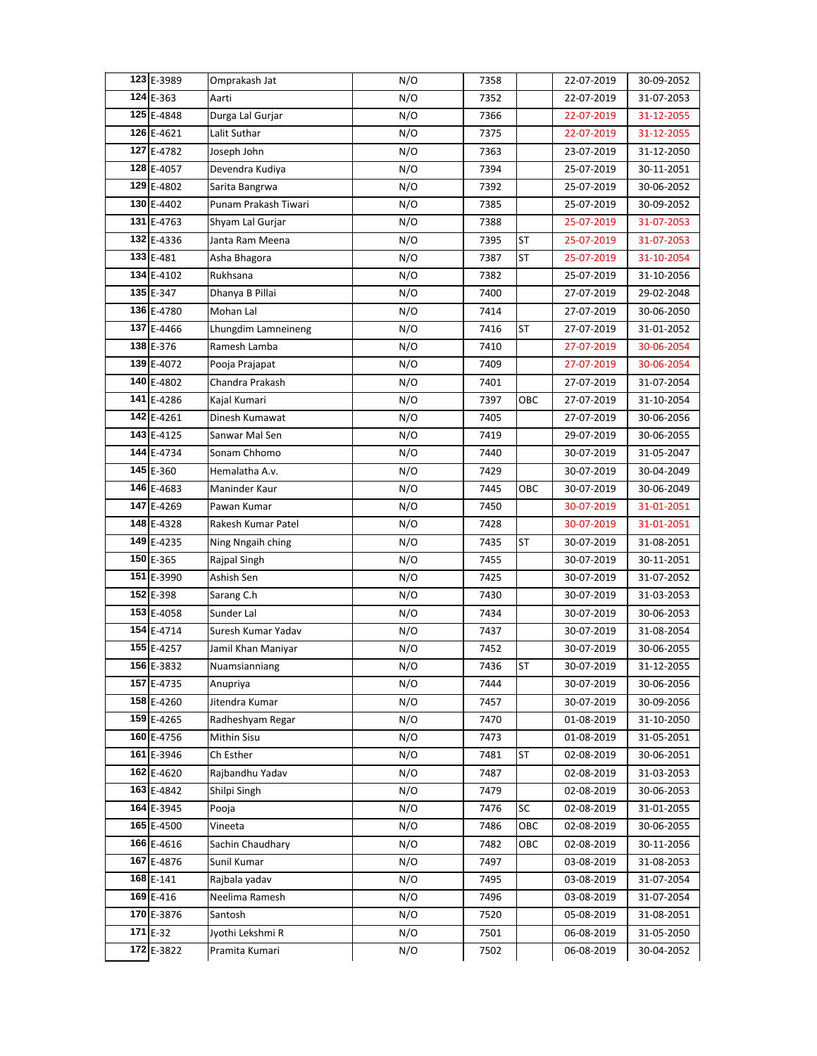| $\overline{123}$ E-3989  | Omprakash Jat                | N/O        | 7358         |           | 22-07-2019               | 30-09-2052               |
|--------------------------|------------------------------|------------|--------------|-----------|--------------------------|--------------------------|
| 124 E-363                | Aarti                        | N/O        | 7352         |           | 22-07-2019               | 31-07-2053               |
| 125 E-4848               | Durga Lal Gurjar             | N/O        | 7366         |           | 22-07-2019               | 31-12-2055               |
| $126$ E-4621             | Lalit Suthar                 | N/O        | 7375         |           | 22-07-2019               | 31-12-2055               |
| 127 E-4782               | Joseph John                  | N/O        | 7363         |           | 23-07-2019               | 31-12-2050               |
| 128 E-4057               | Devendra Kudiya              | N/O        | 7394         |           | 25-07-2019               | 30-11-2051               |
| 129 E-4802               | Sarita Bangrwa               | N/O        | 7392         |           | 25-07-2019               | 30-06-2052               |
| 130 E-4402               | Punam Prakash Tiwari         | N/O        | 7385         |           | 25-07-2019               | 30-09-2052               |
| 131 E-4763               | Shyam Lal Gurjar             | N/O        | 7388         |           | 25-07-2019               | 31-07-2053               |
| 132 E-4336               | Janta Ram Meena              | N/O        | 7395         | <b>ST</b> | 25-07-2019               | 31-07-2053               |
| 133 E-481                | Asha Bhagora                 | N/O        | 7387         | ST        | 25-07-2019               | 31-10-2054               |
| 134 E-4102               | Rukhsana                     | N/O        | 7382         |           | 25-07-2019               | 31-10-2056               |
| 135 E-347                | Dhanya B Pillai              | N/O        | 7400         |           | 27-07-2019               | 29-02-2048               |
| 136 E-4780               | Mohan Lal                    | N/O        | 7414         |           | 27-07-2019               | 30-06-2050               |
| 137 E-4466               | Lhungdim Lamneineng          | N/O        | 7416         | ST        | 27-07-2019               | 31-01-2052               |
| 138 E-376                | Ramesh Lamba                 | N/O        | 7410         |           | 27-07-2019               | 30-06-2054               |
| 139 E-4072               | Pooja Prajapat               | N/O        | 7409         |           | 27-07-2019               | 30-06-2054               |
| 140 E-4802               | Chandra Prakash              | N/O        | 7401         |           | 27-07-2019               | 31-07-2054               |
| 141 E-4286               | Kajal Kumari                 | N/O        | 7397         | ОВС       | 27-07-2019               | 31-10-2054               |
| $142$ E-4261             | Dinesh Kumawat               | N/O        | 7405         |           | 27-07-2019               | 30-06-2056               |
| 143 E-4125               | Sanwar Mal Sen               | N/O        | 7419         |           | 29-07-2019               | 30-06-2055               |
| 144 E-4734               | Sonam Chhomo                 | N/O        | 7440         |           | 30-07-2019               | 31-05-2047               |
| 145 E-360                | Hemalatha A.v.               | N/O        | 7429         |           | 30-07-2019               | 30-04-2049               |
| 146 E-4683               | Maninder Kaur                | N/O        | 7445         | OBC       | 30-07-2019               | 30-06-2049               |
| 147 E-4269               | Pawan Kumar                  | N/O        | 7450         |           | 30-07-2019               | 31-01-2051               |
| 148 E-4328               | Rakesh Kumar Patel           | N/O        | 7428         |           | 30-07-2019               | 31-01-2051               |
| 149 E-4235               | Ning Nngaih ching            | N/O        | 7435         | <b>ST</b> | 30-07-2019               | 31-08-2051               |
| 150 E-365                | Rajpal Singh                 | N/O        | 7455         |           | 30-07-2019               | 30-11-2051               |
| $151E - 3990$            | Ashish Sen                   | N/O        | 7425         |           | 30-07-2019               | 31-07-2052               |
| 152 E-398                | Sarang C.h                   | N/O        | 7430         |           | 30-07-2019               | 31-03-2053               |
| 153 E-4058               | Sunder Lal                   | N/O        | 7434         |           | 30-07-2019               | 30-06-2053               |
| 154 E-4714               | Suresh Kumar Yadav           | N/O        | 7437         |           | 30-07-2019               | 31-08-2054               |
| $155E - 4257$            | Jamil Khan Maniyar           | N/O        | 7452         |           | 30-07-2019               | 30-06-2055               |
| 156 E-3832               | Nuamsianniang                | N/O        | 7436         | <b>ST</b> | 30-07-2019               | 31-12-2055               |
| 157 E-4735               | Anupriya                     | N/O        | 7444         |           | 30-07-2019               | 30-06-2056               |
| 158 E-4260               | Jitendra Kumar               | N/O        | 7457         |           | 30-07-2019               | 30-09-2056               |
| 159 E-4265               | Radheshyam Regar             | N/O        | 7470         |           | 01-08-2019               | 31-10-2050               |
| 160 E-4756               | Mithin Sisu                  | N/O        | 7473         |           | 01-08-2019               | 31-05-2051               |
| 161 E-3946<br>162 E-4620 | Ch Esther<br>Rajbandhu Yadav | N/O<br>N/O | 7481         | ST        | 02-08-2019<br>02-08-2019 | 30-06-2051<br>31-03-2053 |
| 163 E-4842               |                              | N/O        | 7487<br>7479 |           | 02-08-2019               | 30-06-2053               |
| 164 E-3945               | Shilpi Singh                 | N/O        | 7476         | SC        | 02-08-2019               | 31-01-2055               |
| 165 E-4500               | Pooja                        | N/O        |              | OBC       |                          |                          |
| 166 E-4616               | Vineeta<br>Sachin Chaudhary  | N/O        | 7486<br>7482 | ОВС       | 02-08-2019<br>02-08-2019 | 30-06-2055<br>30-11-2056 |
| 167 E-4876               | Sunil Kumar                  | N/O        | 7497         |           | 03-08-2019               | 31-08-2053               |
| 168 E-141                | Rajbala yadav                | N/O        | 7495         |           | 03-08-2019               | 31-07-2054               |
| 169 E-416                | Neelima Ramesh               | N/O        | 7496         |           | 03-08-2019               | 31-07-2054               |
| 170 E-3876               | Santosh                      | N/O        | 7520         |           | 05-08-2019               | 31-08-2051               |
| $\overline{171}$ E-32    | Jyothi Lekshmi R             | N/O        | 7501         |           | 06-08-2019               | 31-05-2050               |
| 172 E-3822               | Pramita Kumari               | N/O        | 7502         |           | 06-08-2019               | 30-04-2052               |
|                          |                              |            |              |           |                          |                          |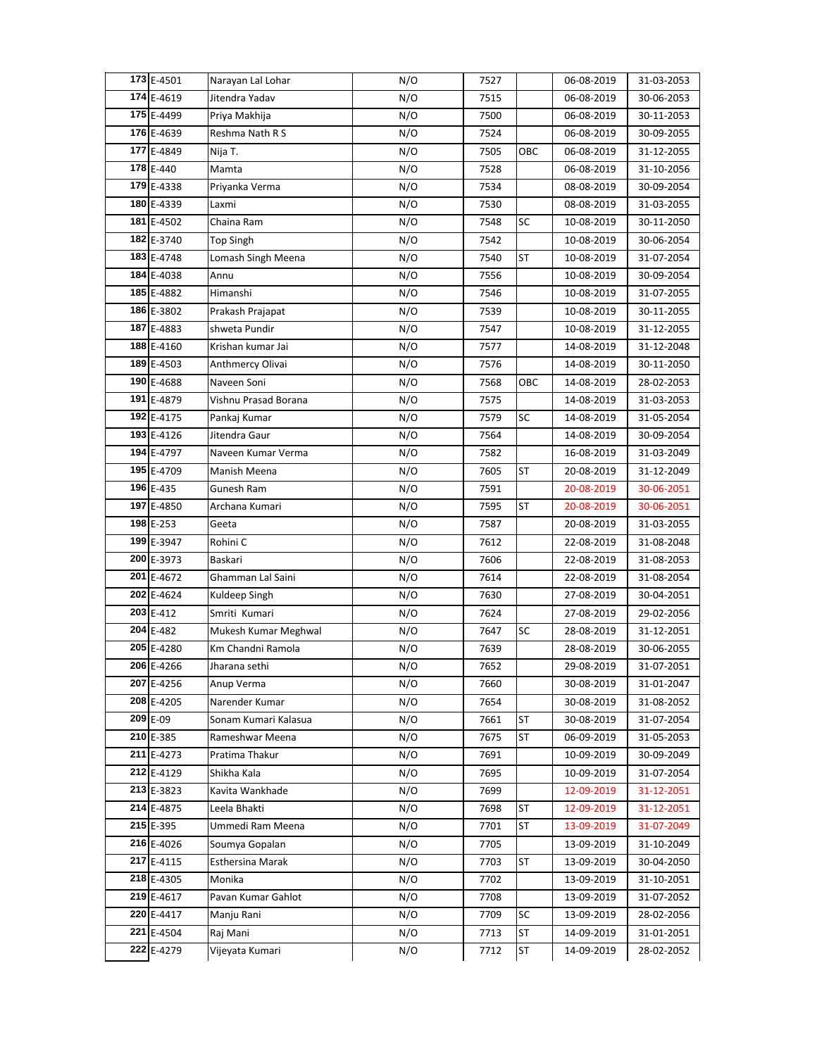| 173 E-4501  | Narayan Lal Lohar    | N/O | 7527 |           | 06-08-2019 | 31-03-2053 |
|-------------|----------------------|-----|------|-----------|------------|------------|
| 174 E-4619  | Jitendra Yadav       | N/O | 7515 |           | 06-08-2019 | 30-06-2053 |
| 175 E-4499  | Priya Makhija        | N/O | 7500 |           | 06-08-2019 | 30-11-2053 |
| 176 E-4639  | Reshma Nath R S      | N/O | 7524 |           | 06-08-2019 | 30-09-2055 |
| 177 E-4849  | Nija T.              | N/O | 7505 | OBC       | 06-08-2019 | 31-12-2055 |
| 178 E-440   | Mamta                | N/O | 7528 |           | 06-08-2019 | 31-10-2056 |
| 179 E-4338  | Priyanka Verma       | N/O | 7534 |           | 08-08-2019 | 30-09-2054 |
| 180 E-4339  | Laxmi                | N/O | 7530 |           | 08-08-2019 | 31-03-2055 |
| 181 E-4502  | Chaina Ram           | N/O | 7548 | SC        | 10-08-2019 | 30-11-2050 |
| 182 E-3740  | <b>Top Singh</b>     | N/O | 7542 |           | 10-08-2019 | 30-06-2054 |
| 183 E-4748  | Lomash Singh Meena   | N/O | 7540 | <b>ST</b> | 10-08-2019 | 31-07-2054 |
| 184 E-4038  | Annu                 | N/O | 7556 |           | 10-08-2019 | 30-09-2054 |
| 185 E-4882  | Himanshi             | N/O | 7546 |           | 10-08-2019 | 31-07-2055 |
| 186 E-3802  | Prakash Prajapat     | N/O | 7539 |           | 10-08-2019 | 30-11-2055 |
| 187 E-4883  | shweta Pundir        | N/O | 7547 |           | 10-08-2019 | 31-12-2055 |
| 188 E-4160  | Krishan kumar Jai    | N/O | 7577 |           | 14-08-2019 | 31-12-2048 |
| 189 E-4503  | Anthmercy Olivai     | N/O | 7576 |           | 14-08-2019 | 30-11-2050 |
| 190 E-4688  | Naveen Soni          | N/O | 7568 | OBC       | 14-08-2019 | 28-02-2053 |
| 191 E-4879  | Vishnu Prasad Borana | N/O | 7575 |           | 14-08-2019 | 31-03-2053 |
| 192 E-4175  | Pankaj Kumar         | N/O | 7579 | <b>SC</b> | 14-08-2019 | 31-05-2054 |
| 193 E-4126  | Jitendra Gaur        | N/O | 7564 |           | 14-08-2019 | 30-09-2054 |
| 194 E-4797  | Naveen Kumar Verma   | N/O | 7582 |           | 16-08-2019 | 31-03-2049 |
| 195 E-4709  | Manish Meena         | N/O | 7605 | <b>ST</b> | 20-08-2019 | 31-12-2049 |
| 196 E-435   | Gunesh Ram           | N/O | 7591 |           | 20-08-2019 | 30-06-2051 |
| 197 E-4850  | Archana Kumari       | N/O | 7595 | <b>ST</b> | 20-08-2019 | 30-06-2051 |
| 198 E-253   | Geeta                | N/O | 7587 |           | 20-08-2019 | 31-03-2055 |
| 199 E-3947  | Rohini C             | N/O | 7612 |           | 22-08-2019 | 31-08-2048 |
| 200 E-3973  | Baskari              | N/O | 7606 |           | 22-08-2019 | 31-08-2053 |
| 201 E-4672  | Ghamman Lal Saini    | N/O | 7614 |           | 22-08-2019 | 31-08-2054 |
| 202 E-4624  | Kuldeep Singh        | N/O | 7630 |           | 27-08-2019 | 30-04-2051 |
| $203$ E-412 | Smriti Kumari        | N/O | 7624 |           | 27-08-2019 | 29-02-2056 |
| 204 E-482   | Mukesh Kumar Meghwal | N/O | 7647 | <b>SC</b> | 28-08-2019 | 31-12-2051 |
| 205 E-4280  | Km Chandni Ramola    | N/O | 7639 |           | 28-08-2019 | 30-06-2055 |
| 206 E-4266  | Jharana sethi        | N/O | 7652 |           | 29-08-2019 | 31-07-2051 |
| 207 E-4256  | Anup Verma           | N/O | 7660 |           | 30-08-2019 | 31-01-2047 |
| 208 E-4205  | Narender Kumar       | N/O | 7654 |           | 30-08-2019 | 31-08-2052 |
| 209 E-09    | Sonam Kumari Kalasua | N/O | 7661 | <b>ST</b> | 30-08-2019 | 31-07-2054 |
| 210 E-385   | Rameshwar Meena      | N/O | 7675 | ST        | 06-09-2019 | 31-05-2053 |
| 211 E-4273  | Pratima Thakur       | N/O | 7691 |           | 10-09-2019 | 30-09-2049 |
| 212 E-4129  | Shikha Kala          | N/O | 7695 |           | 10-09-2019 | 31-07-2054 |
| 213 E-3823  | Kavita Wankhade      | N/O | 7699 |           | 12-09-2019 | 31-12-2051 |
| 214 E-4875  | Leela Bhakti         | N/O | 7698 | <b>ST</b> | 12-09-2019 | 31-12-2051 |
| 215 E-395   | Ummedi Ram Meena     | N/O | 7701 | ST        | 13-09-2019 | 31-07-2049 |
| 216 E-4026  | Soumya Gopalan       | N/O | 7705 |           | 13-09-2019 | 31-10-2049 |
| 217 E-4115  | Esthersina Marak     | N/O | 7703 | <b>ST</b> | 13-09-2019 | 30-04-2050 |
| 218 E-4305  | Monika               | N/O | 7702 |           | 13-09-2019 | 31-10-2051 |
| 219 E-4617  | Pavan Kumar Gahlot   | N/O | 7708 |           | 13-09-2019 | 31-07-2052 |
| 220 E-4417  | Manju Rani           | N/O | 7709 | <b>SC</b> | 13-09-2019 | 28-02-2056 |
| 221 E-4504  | Raj Mani             | N/O | 7713 | <b>ST</b> | 14-09-2019 | 31-01-2051 |
| 222 E-4279  | Vijeyata Kumari      | N/O | 7712 | ST        | 14-09-2019 | 28-02-2052 |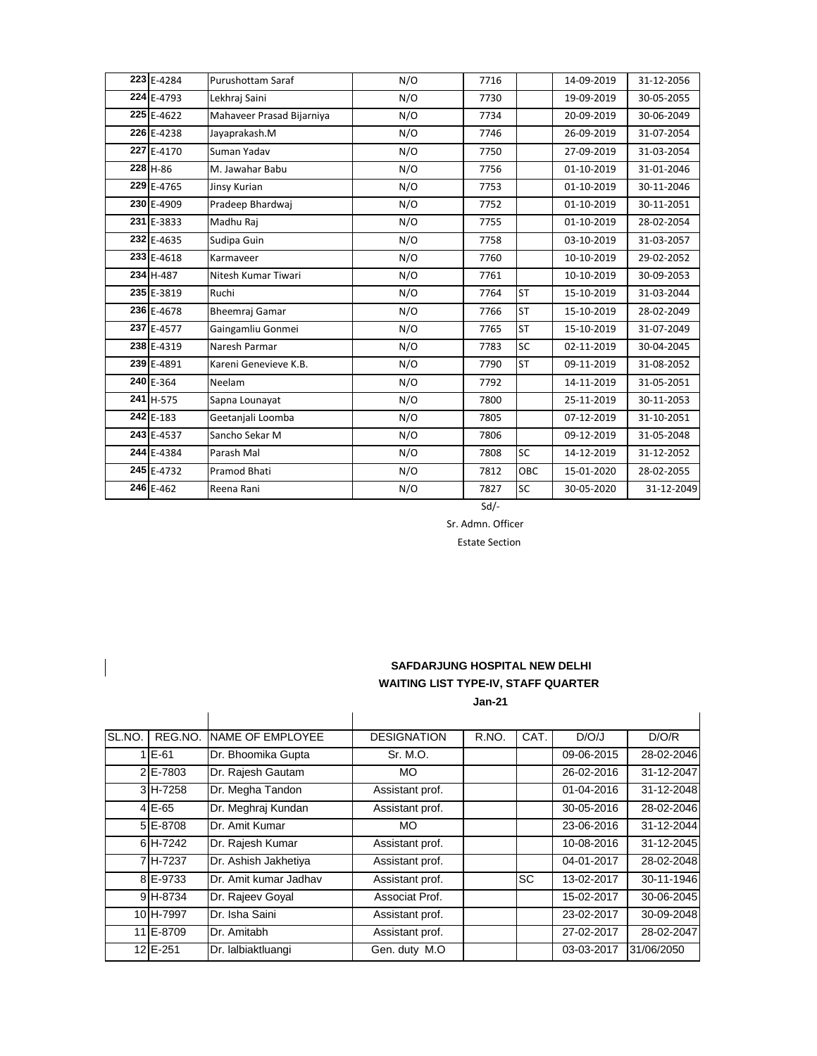| $223$ E-4284           | Purushottam Saraf         | N/O | 7716    |            | 14-09-2019 | 31-12-2056 |
|------------------------|---------------------------|-----|---------|------------|------------|------------|
| 224 E-4793             | Lekhraj Saini             | N/O | 7730    |            | 19-09-2019 | 30-05-2055 |
| 225 E-4622             | Mahaveer Prasad Bijarniya | N/O | 7734    |            | 20-09-2019 | 30-06-2049 |
| 226 E-4238             | Jayaprakash.M             | N/O | 7746    |            | 26-09-2019 | 31-07-2054 |
| 227 E-4170             | Suman Yadav               | N/O | 7750    |            | 27-09-2019 | 31-03-2054 |
| $228$ H-86             | M. Jawahar Babu           | N/O | 7756    |            | 01-10-2019 | 31-01-2046 |
| 229 E-4765             | Jinsy Kurian              | N/O | 7753    |            | 01-10-2019 | 30-11-2046 |
| 230 E-4909             | Pradeep Bhardwai          | N/O | 7752    |            | 01-10-2019 | 30-11-2051 |
| 231 E-3833             | Madhu Raj                 | N/O | 7755    |            | 01-10-2019 | 28-02-2054 |
| 232 E-4635             | Sudipa Guin               | N/O | 7758    |            | 03-10-2019 | 31-03-2057 |
| 233 E-4618             | Karmaveer                 | N/O | 7760    |            | 10-10-2019 | 29-02-2052 |
| 234 H-487              | Nitesh Kumar Tiwari       | N/O | 7761    |            | 10-10-2019 | 30-09-2053 |
| 235 E-3819             | Ruchi                     | N/O | 7764    | <b>ST</b>  | 15-10-2019 | 31-03-2044 |
| 236 E-4678             | <b>Bheemraj Gamar</b>     | N/O | 7766    | <b>ST</b>  | 15-10-2019 | 28-02-2049 |
| 237 E-4577             | Gaingamliu Gonmei         | N/O | 7765    | <b>ST</b>  | 15-10-2019 | 31-07-2049 |
| 238 E-4319             | Naresh Parmar             | N/O | 7783    | <b>SC</b>  | 02-11-2019 | 30-04-2045 |
| 239 E-4891             | Kareni Genevieve K.B.     | N/O | 7790    | <b>ST</b>  | 09-11-2019 | 31-08-2052 |
| 240 E-364              | Neelam                    | N/O | 7792    |            | 14-11-2019 | 31-05-2051 |
| 241 H-575              | Sapna Lounayat            | N/O | 7800    |            | 25-11-2019 | 30-11-2053 |
| $\overline{242}$ E-183 | Geetanjali Loomba         | N/O | 7805    |            | 07-12-2019 | 31-10-2051 |
| 243 E-4537             | Sancho Sekar M            | N/O | 7806    |            | 09-12-2019 | 31-05-2048 |
| 244 E-4384             | Parash Mal                | N/O | 7808    | <b>SC</b>  | 14-12-2019 | 31-12-2052 |
| $245$ E-4732           | Pramod Bhati              | N/O | 7812    | <b>OBC</b> | 15-01-2020 | 28-02-2055 |
| 246 E-462              | Reena Rani                | N/O | 7827    | <b>SC</b>  | 30-05-2020 | 31-12-2049 |
|                        |                           |     | $Sd$ /- |            |            |            |

Sr. Admn. Officer

Estate Section

# **SAFDARJUNG HOSPITAL NEW DELHI WAITING LIST TYPE-IV, STAFF QUARTER**

 **1/1/2020 Jan-21**

| SL.NO. | REG.NO    | NAME OF EMPLOYEE      | <b>DESIGNATION</b> | R.NO. | CAT.      | D/O/J      | D/O/R      |
|--------|-----------|-----------------------|--------------------|-------|-----------|------------|------------|
|        | IE-61     | Dr. Bhoomika Gupta    | Sr. M.O.           |       |           | 09-06-2015 | 28-02-2046 |
|        | 2E-7803   | Dr. Rajesh Gautam     | MO.                |       |           | 26-02-2016 | 31-12-2047 |
|        | 3H-7258   | Dr. Megha Tandon      | Assistant prof.    |       |           | 01-04-2016 | 31-12-2048 |
|        | 4 E-65    | Dr. Meghraj Kundan    | Assistant prof.    |       |           | 30-05-2016 | 28-02-2046 |
|        | 5 E-8708  | Dr. Amit Kumar        | MO.                |       |           | 23-06-2016 | 31-12-2044 |
|        | 6 H-7242  | Dr. Rajesh Kumar      | Assistant prof.    |       |           | 10-08-2016 | 31-12-2045 |
|        | 7H-7237   | Dr. Ashish Jakhetiya  | Assistant prof.    |       |           | 04-01-2017 | 28-02-2048 |
|        | 8 E-9733  | Dr. Amit kumar Jadhav | Assistant prof.    |       | <b>SC</b> | 13-02-2017 | 30-11-1946 |
|        | 9 H-8734  | Dr. Rajeev Goval      | Associat Prof.     |       |           | 15-02-2017 | 30-06-2045 |
|        | 10H-7997  | Dr. Isha Saini        | Assistant prof.    |       |           | 23-02-2017 | 30-09-2048 |
|        | 11 E-8709 | Dr. Amitabh           | Assistant prof.    |       |           | 27-02-2017 | 28-02-2047 |
|        | 12 E-251  | Dr. lalbiaktluangi    | Gen. duty M.O      |       |           | 03-03-2017 | 31/06/2050 |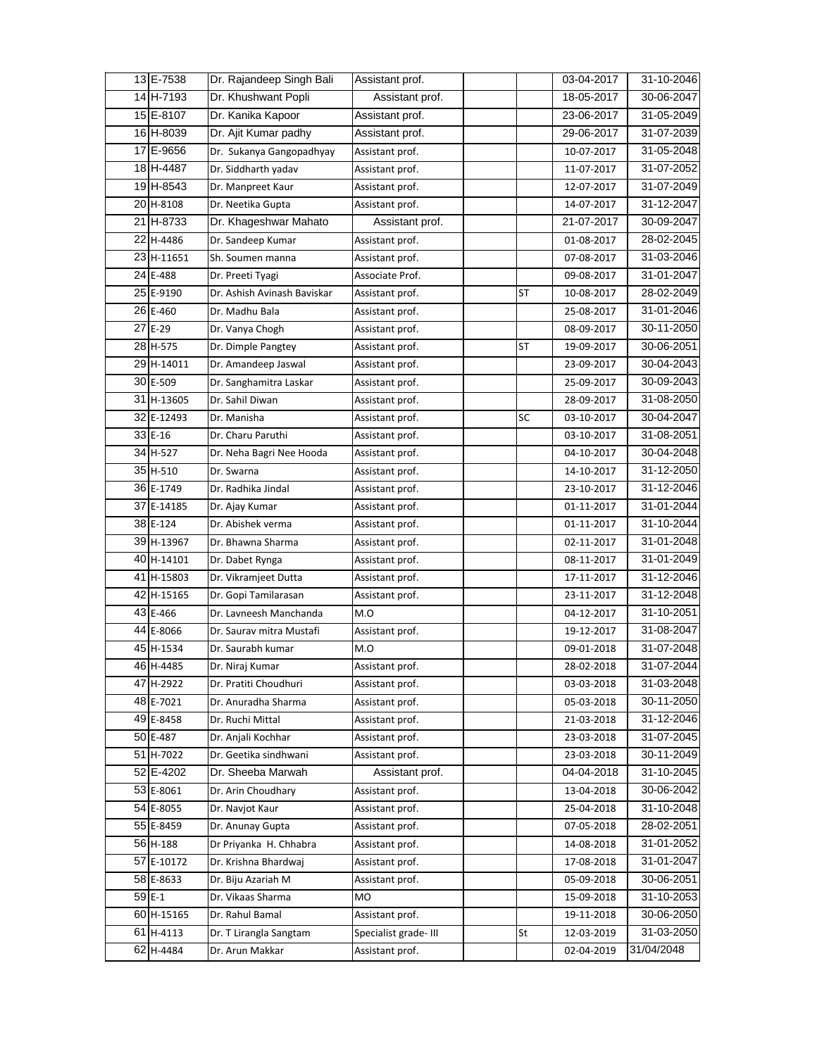|    | 13 E-7538    | Dr. Rajandeep Singh Bali    | Assistant prof.      |           | 03-04-2017 | 31-10-2046 |
|----|--------------|-----------------------------|----------------------|-----------|------------|------------|
|    | 14 H-7193    | Dr. Khushwant Popli         | Assistant prof.      |           | 18-05-2017 | 30-06-2047 |
|    | 15 E-8107    | Dr. Kanika Kapoor           | Assistant prof.      |           | 23-06-2017 | 31-05-2049 |
|    | 16 H-8039    | Dr. Ajit Kumar padhy        | Assistant prof.      |           | 29-06-2017 | 31-07-2039 |
|    | 17 E-9656    | Dr. Sukanya Gangopadhyay    | Assistant prof.      |           | 10-07-2017 | 31-05-2048 |
|    | 18 H-4487    | Dr. Siddharth yadav         | Assistant prof.      |           | 11-07-2017 | 31-07-2052 |
|    | 19 H-8543    | Dr. Manpreet Kaur           | Assistant prof.      |           | 12-07-2017 | 31-07-2049 |
|    | 20 H-8108    | Dr. Neetika Gupta           | Assistant prof.      |           | 14-07-2017 | 31-12-2047 |
|    | 21 H-8733    | Dr. Khageshwar Mahato       | Assistant prof.      |           | 21-07-2017 | 30-09-2047 |
|    | 22 H-4486    | Dr. Sandeep Kumar           | Assistant prof.      |           | 01-08-2017 | 28-02-2045 |
|    | 23 H-11651   | Sh. Soumen manna            | Assistant prof.      |           | 07-08-2017 | 31-03-2046 |
|    | 24 E-488     | Dr. Preeti Tyagi            | Associate Prof.      |           | 09-08-2017 | 31-01-2047 |
|    | 25 E-9190    | Dr. Ashish Avinash Baviskar | Assistant prof.      | <b>ST</b> | 10-08-2017 | 28-02-2049 |
|    | 26 E-460     | Dr. Madhu Bala              | Assistant prof.      |           | 25-08-2017 | 31-01-2046 |
|    | 27 E-29      | Dr. Vanya Chogh             | Assistant prof.      |           | 08-09-2017 | 30-11-2050 |
|    | 28 H-575     | Dr. Dimple Pangtey          | Assistant prof.      | ST        | 19-09-2017 | 30-06-2051 |
|    | 29 H-14011   | Dr. Amandeep Jaswal         | Assistant prof.      |           | 23-09-2017 | 30-04-2043 |
|    | 30 E-509     | Dr. Sanghamitra Laskar      | Assistant prof.      |           | 25-09-2017 | 30-09-2043 |
|    | 31 H-13605   | Dr. Sahil Diwan             | Assistant prof.      |           | 28-09-2017 | 31-08-2050 |
|    | 32 E-12493   | Dr. Manisha                 | Assistant prof.      | SC        | 03-10-2017 | 30-04-2047 |
|    | 33 E-16      | Dr. Charu Paruthi           | Assistant prof.      |           | 03-10-2017 | 31-08-2051 |
|    | 34 H-527     | Dr. Neha Bagri Nee Hooda    | Assistant prof.      |           | 04-10-2017 | 30-04-2048 |
|    | 35 H-510     | Dr. Swarna                  | Assistant prof.      |           | 14-10-2017 | 31-12-2050 |
|    | 36 E-1749    | Dr. Radhika Jindal          | Assistant prof.      |           | 23-10-2017 | 31-12-2046 |
|    | 37 E-14185   | Dr. Ajay Kumar              | Assistant prof.      |           | 01-11-2017 | 31-01-2044 |
|    | 38 E-124     | Dr. Abishek verma           | Assistant prof.      |           | 01-11-2017 | 31-10-2044 |
|    | 39 H-13967   | Dr. Bhawna Sharma           | Assistant prof.      |           | 02-11-2017 | 31-01-2048 |
|    | 40 H-14101   | Dr. Dabet Rynga             | Assistant prof.      |           | 08-11-2017 | 31-01-2049 |
|    | 41 H-15803   | Dr. Vikramjeet Dutta        | Assistant prof.      |           | 17-11-2017 | 31-12-2046 |
|    | 42 H-15165   | Dr. Gopi Tamilarasan        | Assistant prof.      |           | 23-11-2017 | 31-12-2048 |
|    | 43 E-466     | Dr. Lavneesh Manchanda      | M.O                  |           | 04-12-2017 | 31-10-2051 |
|    | 44 E-8066    | Dr. Saurav mitra Mustafi    | Assistant prof.      |           | 19-12-2017 | 31-08-2047 |
|    | 45 H-1534    | Dr. Saurabh kumar           | M.O                  |           | 09-01-2018 | 31-07-2048 |
|    | 46 H-4485    | Dr. Niraj Kumar             | Assistant prof.      |           | 28-02-2018 | 31-07-2044 |
|    | 47 H-2922    | Dr. Pratiti Choudhuri       | Assistant prof.      |           | 03-03-2018 | 31-03-2048 |
|    | 48 E-7021    | Dr. Anuradha Sharma         | Assistant prof.      |           | 05-03-2018 | 30-11-2050 |
|    | 49 E-8458    | Dr. Ruchi Mittal            | Assistant prof.      |           | 21-03-2018 | 31-12-2046 |
|    | 50 E-487     | Dr. Anjali Kochhar          | Assistant prof.      |           | 23-03-2018 | 31-07-2045 |
|    | 51 H-7022    | Dr. Geetika sindhwani       | Assistant prof.      |           | 23-03-2018 | 30-11-2049 |
|    | 52 E-4202    | Dr. Sheeba Marwah           | Assistant prof.      |           | 04-04-2018 | 31-10-2045 |
|    | 53 E-8061    | Dr. Arin Choudhary          | Assistant prof.      |           | 13-04-2018 | 30-06-2042 |
|    | 54 E-8055    | Dr. Navjot Kaur             | Assistant prof.      |           | 25-04-2018 | 31-10-2048 |
|    | 55 E-8459    | Dr. Anunay Gupta            | Assistant prof.      |           | 07-05-2018 | 28-02-2051 |
|    | 56 H-188     | Dr Priyanka H. Chhabra      | Assistant prof.      |           | 14-08-2018 | 31-01-2052 |
|    | 57 E-10172   | Dr. Krishna Bhardwaj        | Assistant prof.      |           | 17-08-2018 | 31-01-2047 |
|    | 58 E-8633    | Dr. Biju Azariah M          | Assistant prof.      |           | 05-09-2018 | 30-06-2051 |
|    | $59$ E-1     | Dr. Vikaas Sharma           | MO                   |           | 15-09-2018 | 31-10-2053 |
|    | 60 H-15165   | Dr. Rahul Bamal             | Assistant prof.      |           | 19-11-2018 | 30-06-2050 |
| 61 | H-4113       | Dr. T Lirangla Sangtam      | Specialist grade-III | St        | 12-03-2019 | 31-03-2050 |
|    | $62H - 4484$ | Dr. Arun Makkar             | Assistant prof.      |           | 02-04-2019 | 31/04/2048 |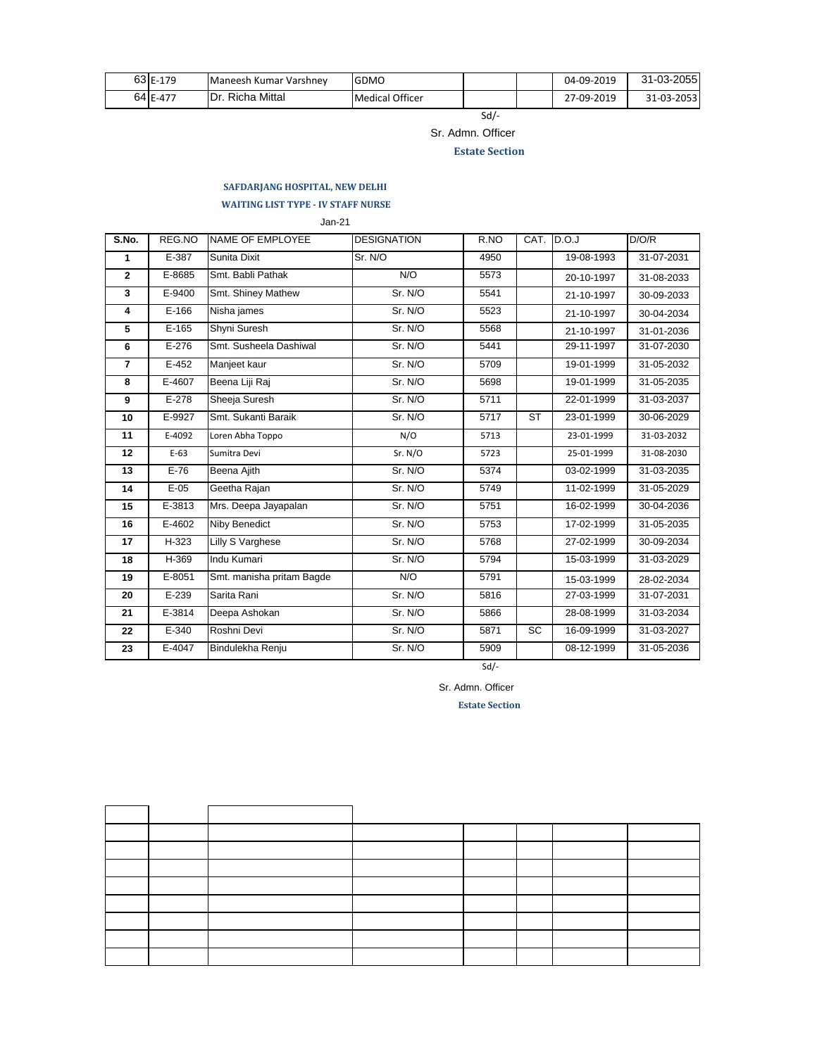| $63E-179$ | Maneesh Kumar Varshnev | GDMO                   |      | 04-09-2019 | 31-03-2055 |
|-----------|------------------------|------------------------|------|------------|------------|
| 64 E-477  | Dr. Richa Mittal       | <b>Medical Officer</b> |      | 27-09-2019 | 31-03-2053 |
|           |                        |                        | Sd/- |            |            |

Sr. Admn. Officer

**Estate Section** 

### **SAFDARJANG HOSPITAL, NEW DELHI**

 **WAITING LIST TYPE - IV STAFF NURSE**

Jan-21

| S.No.          | REG.NO    | <b>NAME OF EMPLOYEE</b>   | <b>DESIGNATION</b> | R.NO   | CAT.      | D.O.J        | D/O/R      |
|----------------|-----------|---------------------------|--------------------|--------|-----------|--------------|------------|
| 1              | E-387     | Sunita Dixit              | Sr. N/O            | 4950   |           | 19-08-1993   | 31-07-2031 |
| $\overline{2}$ | E-8685    | Smt. Babli Pathak         | N/O                | 5573   |           | 20-10-1997   | 31-08-2033 |
| 3              | E-9400    | Smt. Shiney Mathew        | Sr. N/O            | 5541   |           | 21-10-1997   | 30-09-2033 |
| 4              | $E-166$   | Nisha james               | Sr. N/O            | 5523   |           | 21-10-1997   | 30-04-2034 |
| 5              | $E-165$   | Shyni Suresh              | Sr. N/O            | 5568   |           | 21-10-1997   | 31-01-2036 |
| 6              | $E-276$   | Smt. Susheela Dashiwal    | Sr. N/O            | 5441   |           | 29-11-1997   | 31-07-2030 |
| $\overline{7}$ | $E-452$   | Manjeet kaur              | Sr. N/O            | 5709   |           | 19-01-1999   | 31-05-2032 |
| 8              | E-4607    | Beena Liji Raj            | Sr. N/O            | 5698   |           | 19-01-1999   | 31-05-2035 |
| 9              | $E-278$   | Sheeja Suresh             | Sr. N/O            | 5711   |           | 22-01-1999   | 31-03-2037 |
| 10             | E-9927    | Smt. Sukanti Baraik       | Sr. N/O            | 5717   | <b>ST</b> | 23-01-1999   | 30-06-2029 |
| 11             | E-4092    | Loren Abha Toppo          | N/O                | 5713   |           | 23-01-1999   | 31-03-2032 |
| 12             | $E-63$    | Sumitra Devi              | Sr. N/O            | 5723   |           | $25-01-1999$ | 31-08-2030 |
| 13             | $E-76$    | Beena Ajith               | Sr. N/O            | 5374   |           | 03-02-1999   | 31-03-2035 |
| 14             | $E-05$    | Geetha Rajan              | Sr. N/O            | 5749   |           | 11-02-1999   | 31-05-2029 |
| 15             | E-3813    | Mrs. Deepa Jayapalan      | Sr. N/O            | 5751   |           | 16-02-1999   | 30-04-2036 |
| 16             | E-4602    | Niby Benedict             | Sr. N/O            | 5753   |           | 17-02-1999   | 31-05-2035 |
| 17             | $H-323$   | Lilly S Varghese          | Sr. N/O            | 5768   |           | 27-02-1999   | 30-09-2034 |
| 18             | H-369     | Indu Kumari               | Sr. N/O            | 5794   |           | 15-03-1999   | 31-03-2029 |
| 19             | E-8051    | Smt. manisha pritam Bagde | N/O                | 5791   |           | 15-03-1999   | 28-02-2034 |
| 20             | E-239     | Sarita Rani               | Sr. N/O            | 5816   |           | 27-03-1999   | 31-07-2031 |
| 21             | E-3814    | Deepa Ashokan             | Sr. N/O            | 5866   |           | 28-08-1999   | 31-03-2034 |
| 22             | $E - 340$ | Roshni Devi               | Sr. N/O            | 5871   | <b>SC</b> | 16-09-1999   | 31-03-2027 |
| 23             | E-4047    | Bindulekha Renju          | Sr. N/O            | 5909   |           | 08-12-1999   | 31-05-2036 |
|                |           |                           |                    | $Sd$ - |           |              |            |

Sr. Admn. Officer

**Estate Section**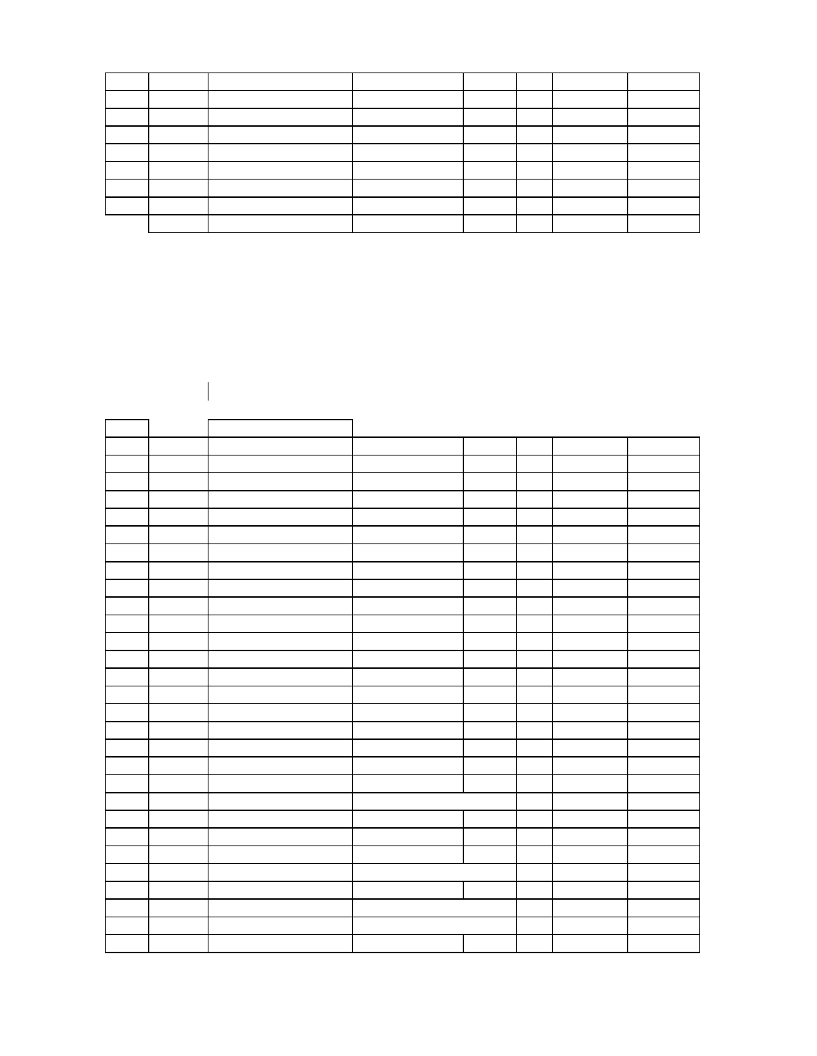|  | the contract of the contract of the contract of the contract of the contract of |  |  |  |
|--|---------------------------------------------------------------------------------|--|--|--|
|  |                                                                                 |  |  |  |
|  |                                                                                 |  |  |  |
|  |                                                                                 |  |  |  |
|  |                                                                                 |  |  |  |
|  |                                                                                 |  |  |  |

 $\overline{\phantom{a}}$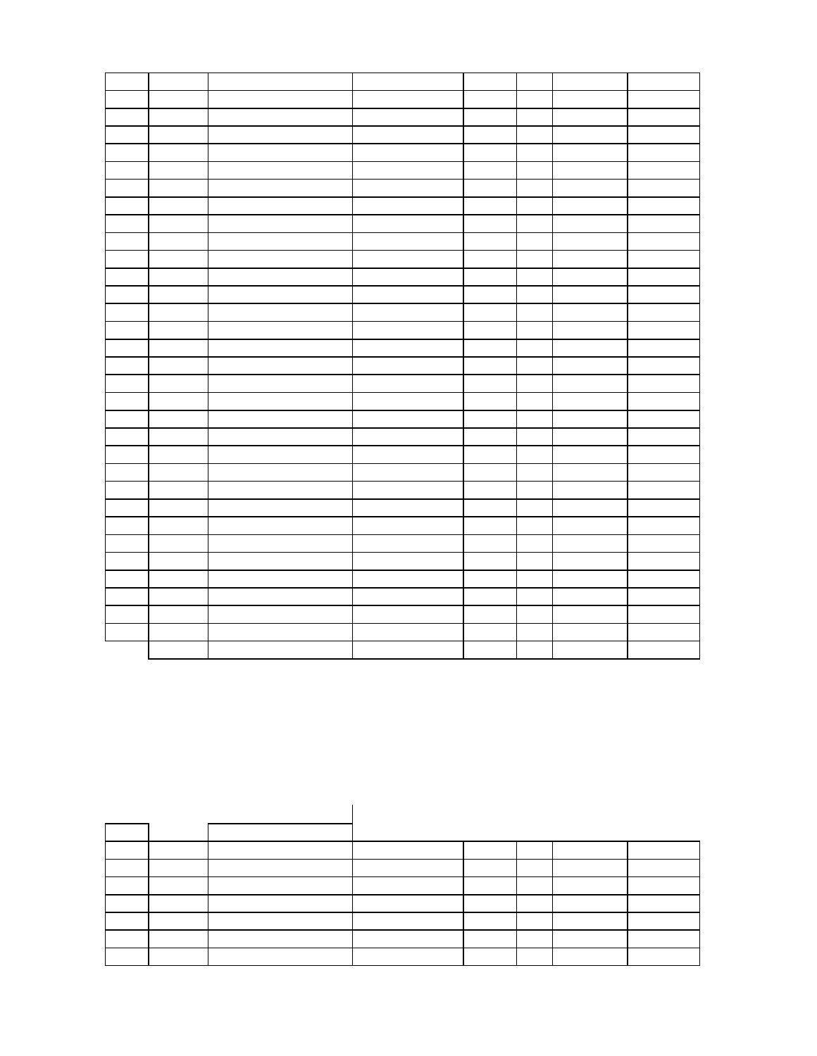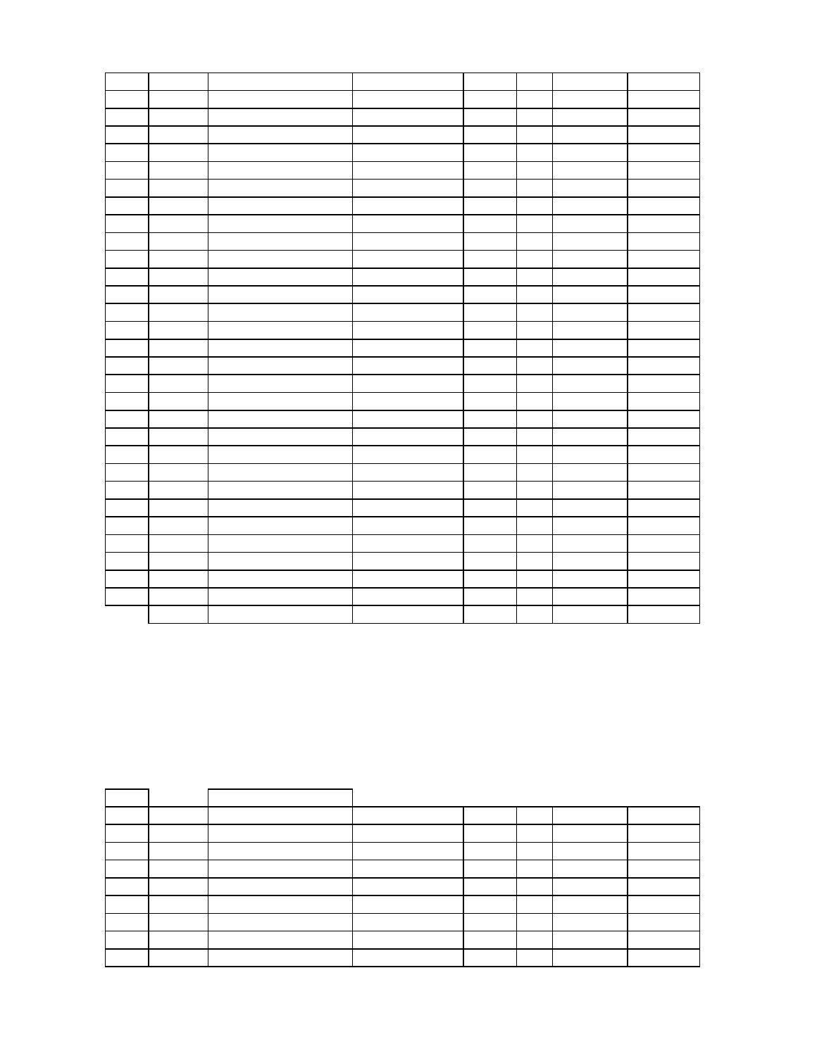|  | the contract of the contract of the contract of the contract of the contract of the contract of the contract of |  |  |
|--|-----------------------------------------------------------------------------------------------------------------|--|--|
|  |                                                                                                                 |  |  |
|  |                                                                                                                 |  |  |
|  |                                                                                                                 |  |  |
|  |                                                                                                                 |  |  |
|  |                                                                                                                 |  |  |
|  |                                                                                                                 |  |  |
|  |                                                                                                                 |  |  |
|  |                                                                                                                 |  |  |